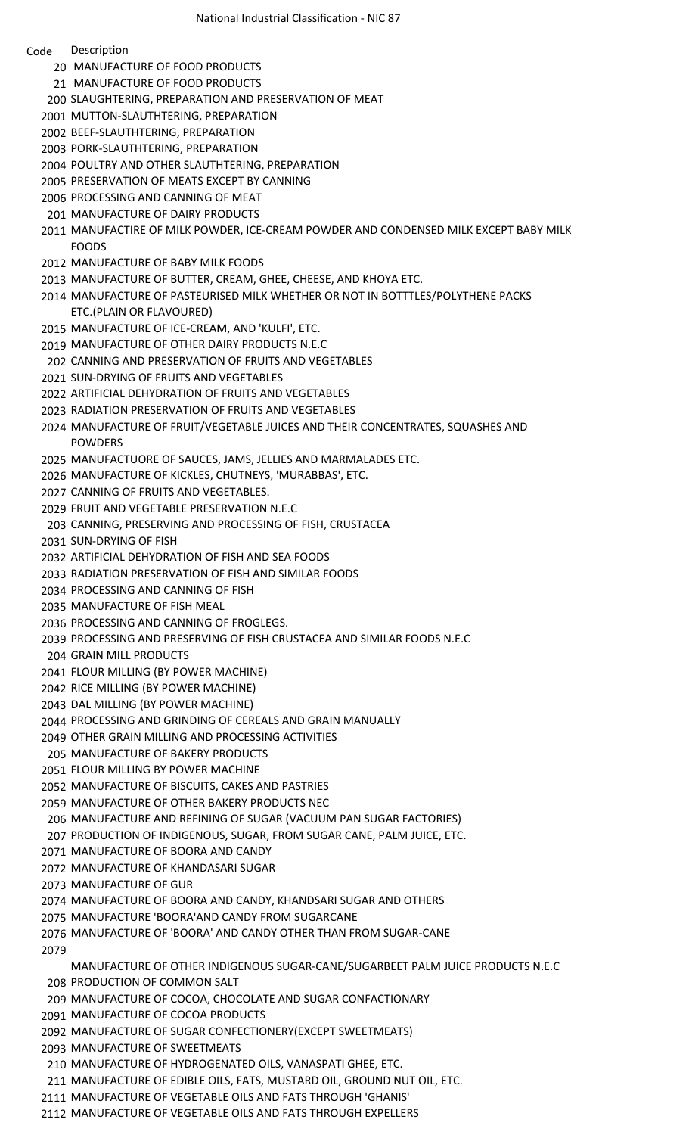## Code Description

- 20 MANUFACTURE OF FOOD PRODUCTS
- 21 MANUFACTURE OF FOOD PRODUCTS
- SLAUGHTERING, PREPARATION AND PRESERVATION OF MEAT
- MUTTON-SLAUTHTERING, PREPARATION
- BEEF-SLAUTHTERING, PREPARATION
- PORK-SLAUTHTERING, PREPARATION
- POULTRY AND OTHER SLAUTHTERING, PREPARATION
- PRESERVATION OF MEATS EXCEPT BY CANNING
- PROCESSING AND CANNING OF MEAT
- MANUFACTURE OF DAIRY PRODUCTS
- MANUFACTIRE OF MILK POWDER, ICE-CREAM POWDER AND CONDENSED MILK EXCEPT BABY MILK FOODS
- MANUFACTURE OF BABY MILK FOODS
- MANUFACTURE OF BUTTER, CREAM, GHEE, CHEESE, AND KHOYA ETC.
- MANUFACTURE OF PASTEURISED MILK WHETHER OR NOT IN BOTTTLES/POLYTHENE PACKS ETC.(PLAIN OR FLAVOURED)
- MANUFACTURE OF ICE-CREAM, AND 'KULFI', ETC.
- MANUFACTURE OF OTHER DAIRY PRODUCTS N.E.C
- CANNING AND PRESERVATION OF FRUITS AND VEGETABLES
- SUN-DRYING OF FRUITS AND VEGETABLES
- ARTIFICIAL DEHYDRATION OF FRUITS AND VEGETABLES
- RADIATION PRESERVATION OF FRUITS AND VEGETABLES
- MANUFACTURE OF FRUIT/VEGETABLE JUICES AND THEIR CONCENTRATES, SQUASHES AND POWDERS
- MANUFACTUORE OF SAUCES, JAMS, JELLIES AND MARMALADES ETC.
- MANUFACTURE OF KICKLES, CHUTNEYS, 'MURABBAS', ETC.
- CANNING OF FRUITS AND VEGETABLES.
- FRUIT AND VEGETABLE PRESERVATION N.E.C
- CANNING, PRESERVING AND PROCESSING OF FISH, CRUSTACEA
- SUN-DRYING OF FISH
- ARTIFICIAL DEHYDRATION OF FISH AND SEA FOODS
- RADIATION PRESERVATION OF FISH AND SIMILAR FOODS
- PROCESSING AND CANNING OF FISH
- MANUFACTURE OF FISH MEAL
- PROCESSING AND CANNING OF FROGLEGS.
- PROCESSING AND PRESERVING OF FISH CRUSTACEA AND SIMILAR FOODS N.E.C
- GRAIN MILL PRODUCTS
- FLOUR MILLING (BY POWER MACHINE)
- RICE MILLING (BY POWER MACHINE)
- DAL MILLING (BY POWER MACHINE)
- PROCESSING AND GRINDING OF CEREALS AND GRAIN MANUALLY
- OTHER GRAIN MILLING AND PROCESSING ACTIVITIES
- MANUFACTURE OF BAKERY PRODUCTS
- FLOUR MILLING BY POWER MACHINE
- MANUFACTURE OF BISCUITS, CAKES AND PASTRIES
- MANUFACTURE OF OTHER BAKERY PRODUCTS NEC
- MANUFACTURE AND REFINING OF SUGAR (VACUUM PAN SUGAR FACTORIES)
- PRODUCTION OF INDIGENOUS, SUGAR, FROM SUGAR CANE, PALM JUICE, ETC.
- MANUFACTURE OF BOORA AND CANDY
- MANUFACTURE OF KHANDASARI SUGAR
- MANUFACTURE OF GUR
- MANUFACTURE OF BOORA AND CANDY, KHANDSARI SUGAR AND OTHERS
- MANUFACTURE 'BOORA'AND CANDY FROM SUGARCANE
- MANUFACTURE OF 'BOORA' AND CANDY OTHER THAN FROM SUGAR-CANE
- 

MANUFACTURE OF OTHER INDIGENOUS SUGAR-CANE/SUGARBEET PALM JUICE PRODUCTS N.E.C PRODUCTION OF COMMON SALT

- MANUFACTURE OF COCOA, CHOCOLATE AND SUGAR CONFACTIONARY
- MANUFACTURE OF COCOA PRODUCTS
- MANUFACTURE OF SUGAR CONFECTIONERY(EXCEPT SWEETMEATS)
- MANUFACTURE OF SWEETMEATS
- MANUFACTURE OF HYDROGENATED OILS, VANASPATI GHEE, ETC.
- MANUFACTURE OF EDIBLE OILS, FATS, MUSTARD OIL, GROUND NUT OIL, ETC.
- MANUFACTURE OF VEGETABLE OILS AND FATS THROUGH 'GHANIS'
- MANUFACTURE OF VEGETABLE OILS AND FATS THROUGH EXPELLERS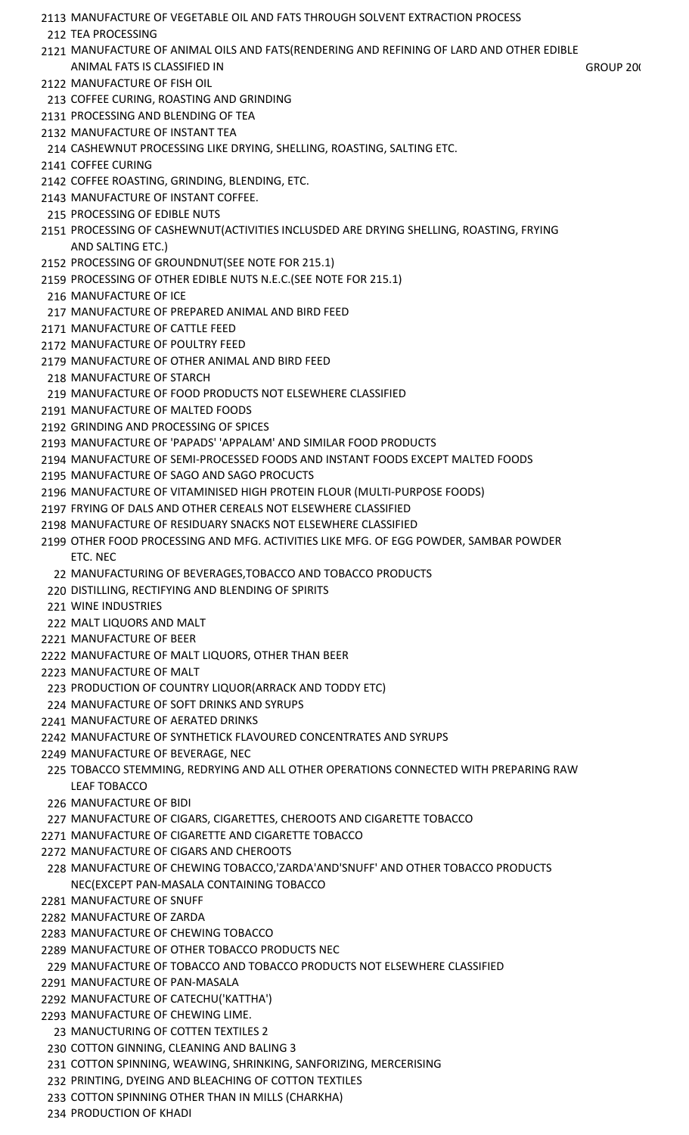- MANUFACTURE OF VEGETABLE OIL AND FATS THROUGH SOLVENT EXTRACTION PROCESS TEA PROCESSING MANUFACTURE OF ANIMAL OILS AND FATS(RENDERING AND REFINING OF LARD AND OTHER EDIBLE ANIMAL FATS IS CLASSIFIED IN GROUP 200) MANUFACTURE OF FISH OIL COFFEE CURING, ROASTING AND GRINDING PROCESSING AND BLENDING OF TEA MANUFACTURE OF INSTANT TEA CASHEWNUT PROCESSING LIKE DRYING, SHELLING, ROASTING, SALTING ETC. COFFEE CURING COFFEE ROASTING, GRINDING, BLENDING, ETC. MANUFACTURE OF INSTANT COFFEE. PROCESSING OF EDIBLE NUTS PROCESSING OF CASHEWNUT(ACTIVITIES INCLUSDED ARE DRYING SHELLING, ROASTING, FRYING AND SALTING ETC.) PROCESSING OF GROUNDNUT(SEE NOTE FOR 215.1) PROCESSING OF OTHER EDIBLE NUTS N.E.C.(SEE NOTE FOR 215.1) MANUFACTURE OF ICE MANUFACTURE OF PREPARED ANIMAL AND BIRD FEED MANUFACTURE OF CATTLE FEED MANUFACTURE OF POULTRY FEED MANUFACTURE OF OTHER ANIMAL AND BIRD FEED MANUFACTURE OF STARCH MANUFACTURE OF FOOD PRODUCTS NOT ELSEWHERE CLASSIFIED MANUFACTURE OF MALTED FOODS GRINDING AND PROCESSING OF SPICES MANUFACTURE OF 'PAPADS' 'APPALAM' AND SIMILAR FOOD PRODUCTS MANUFACTURE OF SEMI-PROCESSED FOODS AND INSTANT FOODS EXCEPT MALTED FOODS MANUFACTURE OF SAGO AND SAGO PROCUCTS MANUFACTURE OF VITAMINISED HIGH PROTEIN FLOUR (MULTI-PURPOSE FOODS) FRYING OF DALS AND OTHER CEREALS NOT ELSEWHERE CLASSIFIED MANUFACTURE OF RESIDUARY SNACKS NOT ELSEWHERE CLASSIFIED OTHER FOOD PROCESSING AND MFG. ACTIVITIES LIKE MFG. OF EGG POWDER, SAMBAR POWDER ETC. NEC MANUFACTURING OF BEVERAGES,TOBACCO AND TOBACCO PRODUCTS DISTILLING, RECTIFYING AND BLENDING OF SPIRITS WINE INDUSTRIES MALT LIQUORS AND MALT MANUFACTURE OF BEER MANUFACTURE OF MALT LIQUORS, OTHER THAN BEER MANUFACTURE OF MALT PRODUCTION OF COUNTRY LIQUOR(ARRACK AND TODDY ETC) MANUFACTURE OF SOFT DRINKS AND SYRUPS MANUFACTURE OF AERATED DRINKS MANUFACTURE OF SYNTHETICK FLAVOURED CONCENTRATES AND SYRUPS MANUFACTURE OF BEVERAGE, NEC TOBACCO STEMMING, REDRYING AND ALL OTHER OPERATIONS CONNECTED WITH PREPARING RAW LEAF TOBACCO MANUFACTURE OF BIDI MANUFACTURE OF CIGARS, CIGARETTES, CHEROOTS AND CIGARETTE TOBACCO MANUFACTURE OF CIGARETTE AND CIGARETTE TOBACCO MANUFACTURE OF CIGARS AND CHEROOTS MANUFACTURE OF CHEWING TOBACCO,'ZARDA'AND'SNUFF' AND OTHER TOBACCO PRODUCTS NEC(EXCEPT PAN-MASALA CONTAINING TOBACCO MANUFACTURE OF SNUFF MANUFACTURE OF ZARDA MANUFACTURE OF CHEWING TOBACCO MANUFACTURE OF OTHER TOBACCO PRODUCTS NEC MANUFACTURE OF TOBACCO AND TOBACCO PRODUCTS NOT ELSEWHERE CLASSIFIED MANUFACTURE OF PAN-MASALA MANUFACTURE OF CATECHU('KATTHA') MANUFACTURE OF CHEWING LIME. MANUCTURING OF COTTEN TEXTILES 2
	- COTTON GINNING, CLEANING AND BALING 3
- COTTON SPINNING, WEAWING, SHRINKING, SANFORIZING, MERCERISING
- PRINTING, DYEING AND BLEACHING OF COTTON TEXTILES
- COTTON SPINNING OTHER THAN IN MILLS (CHARKHA)
- PRODUCTION OF KHADI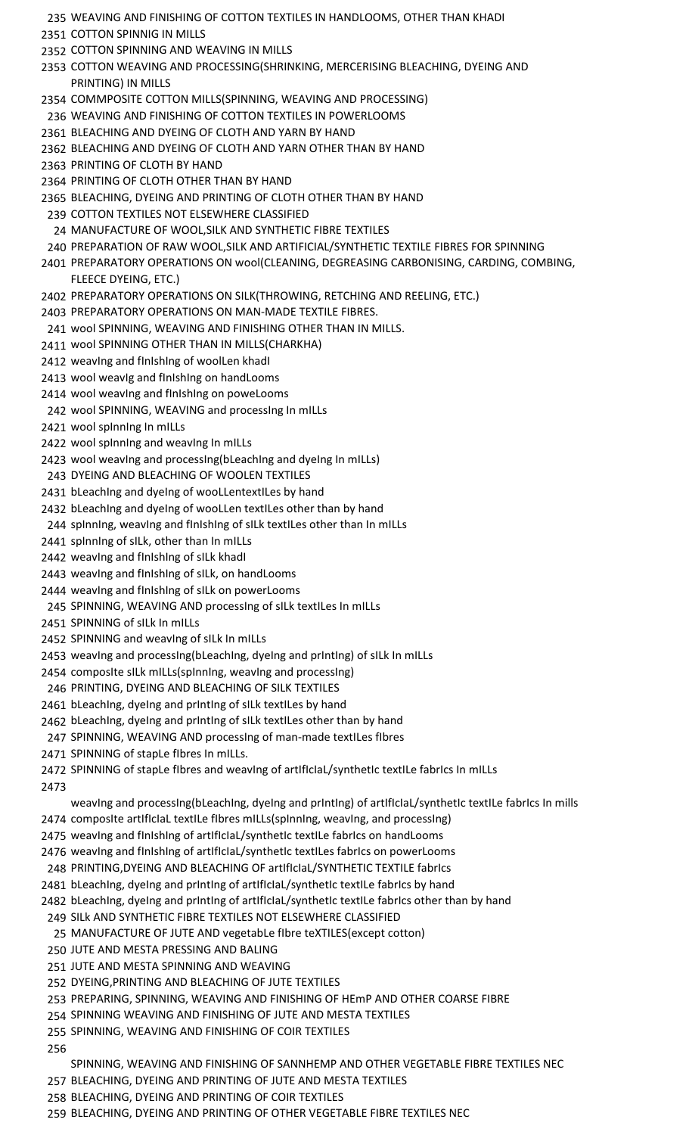- WEAVING AND FINISHING OF COTTON TEXTILES IN HANDLOOMS, OTHER THAN KHADI COTTON SPINNIG IN MILLS COTTON SPINNING AND WEAVING IN MILLS COTTON WEAVING AND PROCESSING(SHRINKING, MERCERISING BLEACHING, DYEING AND PRINTING) IN MILLS COMMPOSITE COTTON MILLS(SPINNING, WEAVING AND PROCESSING) WEAVING AND FINISHING OF COTTON TEXTILES IN POWERLOOMS BLEACHING AND DYEING OF CLOTH AND YARN BY HAND BLEACHING AND DYEING OF CLOTH AND YARN OTHER THAN BY HAND PRINTING OF CLOTH BY HAND PRINTING OF CLOTH OTHER THAN BY HAND BLEACHING, DYEING AND PRINTING OF CLOTH OTHER THAN BY HAND COTTON TEXTILES NOT ELSEWHERE CLASSIFIED MANUFACTURE OF WOOL,SILK AND SYNTHETIC FIBRE TEXTILES PREPARATION OF RAW WOOL,SILK AND ARTIFICIAL/SYNTHETIC TEXTILE FIBRES FOR SPINNING PREPARATORY OPERATIONS ON wool(CLEANING, DEGREASING CARBONISING, CARDING, COMBING, FLEECE DYEING, ETC.) PREPARATORY OPERATIONS ON SILK(THROWING, RETCHING AND REELING, ETC.) PREPARATORY OPERATIONS ON MAN-MADE TEXTILE FIBRES. wool SPINNING, WEAVING AND FINISHING OTHER THAN IN MILLS. wool SPINNING OTHER THAN IN MILLS(CHARKHA) 2412 weaving and finishing of woolLen khadi wool weavIg and fInIshIng on handLooms wool weavIng and fInIshIng on poweLooms 242 wool SPINNING, WEAVING and processing in mills wool spInnIng In mILLs 2422 wool spinning and weaving in mills wool weavIng and processIng(bLeachIng and dyeIng In mILLs) DYEING AND BLEACHING OF WOOLEN TEXTILES 2431 bLeaching and dyeing of wooLLentextiLes by hand 2432 bLeaching and dyeing of wooLLen textiLes other than by hand 244 spInning, weaving and finishing of silk textiles other than in mills spInnIng of sILk, other than In mILLs 2442 weaving and finishing of silk khadi weavIng and fInIshIng of sILk, on handLooms weavIng and fInIshIng of sILk on powerLooms SPINNING, WEAVING AND processIng of sILk textILes In mILLs SPINNING of sILk In mILLs SPINNING and weavIng of sILk In mILLs 2453 weaving and processing(bLeaching, dyeing and printing) of silk in mills composIte sILk mILLs(spInnIng, weavIng and processIng) PRINTING, DYEING AND BLEACHING OF SILK TEXTILES 2461 bLeaching, dyeing and printing of silk textiles by hand 2462 bLeaching, dyeing and printing of silk textiles other than by hand SPINNING, WEAVING AND processIng of man-made textILes fIbres SPINNING of stapLe fIbres In mILLs. 2472 SPINNING of stapLe fibres and weaving of artificiaL/synthetic textiLe fabrics in miLLs weavIng and processIng(bLeachIng, dyeIng and prIntIng) of artIfIcIaL/synthetIc textILe fabrIcs In mills 2474 composIte artIfIcIaL textILe fIbres mILLs(spInnIng, weavIng, and processIng) 2475 weaving and finishing of artificial/synthetic textile fabrics on handLooms 2476 weaving and finishing of artificial/synthetic textiles fabrics on powerLooms PRINTING,DYEING AND BLEACHING OF artIfIcIaL/SYNTHETIC TEXTILE fabrIcs 2481 bLeaching, dyeing and printing of artificial/synthetic textile fabrics by hand bLeachIng, dyeIng and prIntIng of artIfIcIaL/synthetIc textILe fabrIcs other than by hand SILk AND SYNTHETIC FIBRE TEXTILES NOT ELSEWHERE CLASSIFIED MANUFACTURE OF JUTE AND vegetabLe fIbre teXTILES(except cotton) JUTE AND MESTA PRESSING AND BALING JUTE AND MESTA SPINNING AND WEAVING DYEING,PRINTING AND BLEACHING OF JUTE TEXTILES PREPARING, SPINNING, WEAVING AND FINISHING OF HEmP AND OTHER COARSE FIBRE SPINNING WEAVING AND FINISHING OF JUTE AND MESTA TEXTILES SPINNING, WEAVING AND FINISHING OF COIR TEXTILES
	- SPINNING, WEAVING AND FINISHING OF SANNHEMP AND OTHER VEGETABLE FIBRE TEXTILES NEC
	- BLEACHING, DYEING AND PRINTING OF JUTE AND MESTA TEXTILES
	- BLEACHING, DYEING AND PRINTING OF COIR TEXTILES
	- BLEACHING, DYEING AND PRINTING OF OTHER VEGETABLE FIBRE TEXTILES NEC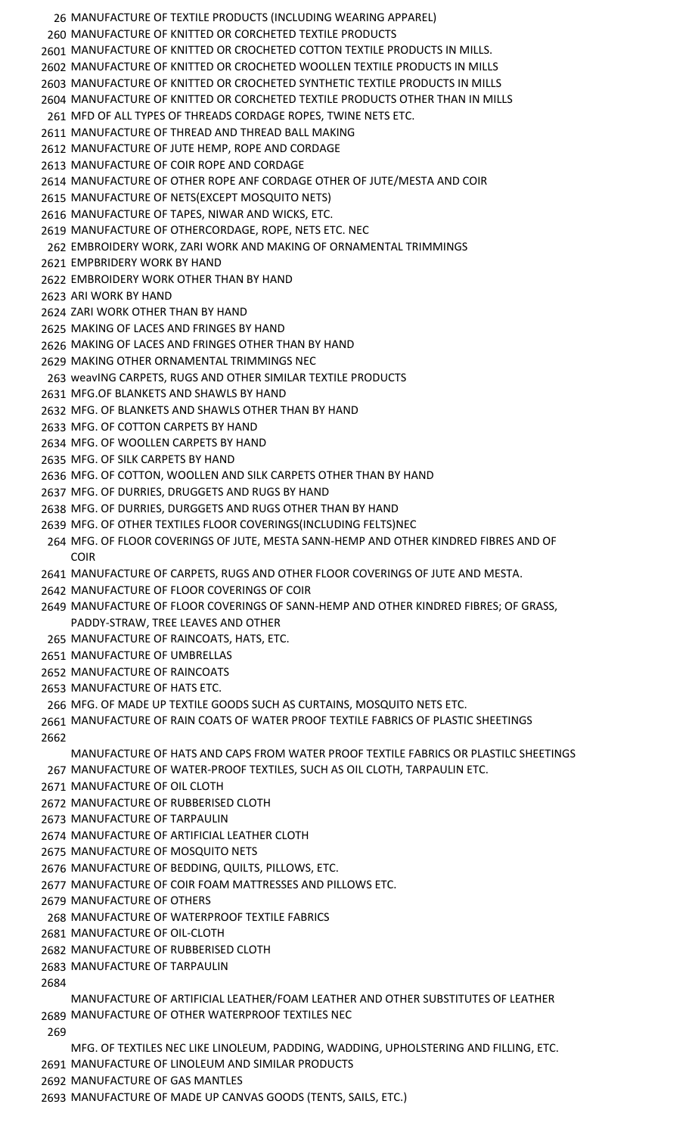MANUFACTURE OF TEXTILE PRODUCTS (INCLUDING WEARING APPAREL) MANUFACTURE OF KNITTED OR CORCHETED TEXTILE PRODUCTS MANUFACTURE OF KNITTED OR CROCHETED COTTON TEXTILE PRODUCTS IN MILLS. MANUFACTURE OF KNITTED OR CROCHETED WOOLLEN TEXTILE PRODUCTS IN MILLS MANUFACTURE OF KNITTED OR CROCHETED SYNTHETIC TEXTILE PRODUCTS IN MILLS MANUFACTURE OF KNITTED OR CORCHETED TEXTILE PRODUCTS OTHER THAN IN MILLS MFD OF ALL TYPES OF THREADS CORDAGE ROPES, TWINE NETS ETC. MANUFACTURE OF THREAD AND THREAD BALL MAKING MANUFACTURE OF JUTE HEMP, ROPE AND CORDAGE MANUFACTURE OF COIR ROPE AND CORDAGE MANUFACTURE OF OTHER ROPE ANF CORDAGE OTHER OF JUTE/MESTA AND COIR MANUFACTURE OF NETS(EXCEPT MOSQUITO NETS) MANUFACTURE OF TAPES, NIWAR AND WICKS, ETC. MANUFACTURE OF OTHERCORDAGE, ROPE, NETS ETC. NEC EMBROIDERY WORK, ZARI WORK AND MAKING OF ORNAMENTAL TRIMMINGS EMPBRIDERY WORK BY HAND EMBROIDERY WORK OTHER THAN BY HAND ARI WORK BY HAND ZARI WORK OTHER THAN BY HAND MAKING OF LACES AND FRINGES BY HAND MAKING OF LACES AND FRINGES OTHER THAN BY HAND MAKING OTHER ORNAMENTAL TRIMMINGS NEC weavING CARPETS, RUGS AND OTHER SIMILAR TEXTILE PRODUCTS MFG.OF BLANKETS AND SHAWLS BY HAND MFG. OF BLANKETS AND SHAWLS OTHER THAN BY HAND MFG. OF COTTON CARPETS BY HAND MFG. OF WOOLLEN CARPETS BY HAND MFG. OF SILK CARPETS BY HAND MFG. OF COTTON, WOOLLEN AND SILK CARPETS OTHER THAN BY HAND MFG. OF DURRIES, DRUGGETS AND RUGS BY HAND MFG. OF DURRIES, DURGGETS AND RUGS OTHER THAN BY HAND MFG. OF OTHER TEXTILES FLOOR COVERINGS(INCLUDING FELTS)NEC MFG. OF FLOOR COVERINGS OF JUTE, MESTA SANN-HEMP AND OTHER KINDRED FIBRES AND OF COIR MANUFACTURE OF CARPETS, RUGS AND OTHER FLOOR COVERINGS OF JUTE AND MESTA. MANUFACTURE OF FLOOR COVERINGS OF COIR MANUFACTURE OF FLOOR COVERINGS OF SANN-HEMP AND OTHER KINDRED FIBRES; OF GRASS, PADDY-STRAW, TREE LEAVES AND OTHER MANUFACTURE OF RAINCOATS, HATS, ETC. MANUFACTURE OF UMBRELLAS MANUFACTURE OF RAINCOATS MANUFACTURE OF HATS ETC. MFG. OF MADE UP TEXTILE GOODS SUCH AS CURTAINS, MOSQUITO NETS ETC. MANUFACTURE OF RAIN COATS OF WATER PROOF TEXTILE FABRICS OF PLASTIC SHEETINGS MANUFACTURE OF HATS AND CAPS FROM WATER PROOF TEXTILE FABRICS OR PLASTILC SHEETINGS MANUFACTURE OF WATER-PROOF TEXTILES, SUCH AS OIL CLOTH, TARPAULIN ETC. MANUFACTURE OF OIL CLOTH MANUFACTURE OF RUBBERISED CLOTH MANUFACTURE OF TARPAULIN MANUFACTURE OF ARTIFICIAL LEATHER CLOTH MANUFACTURE OF MOSQUITO NETS MANUFACTURE OF BEDDING, QUILTS, PILLOWS, ETC. MANUFACTURE OF COIR FOAM MATTRESSES AND PILLOWS ETC. MANUFACTURE OF OTHERS MANUFACTURE OF WATERPROOF TEXTILE FABRICS MANUFACTURE OF OIL-CLOTH MANUFACTURE OF RUBBERISED CLOTH MANUFACTURE OF TARPAULIN MANUFACTURE OF ARTIFICIAL LEATHER/FOAM LEATHER AND OTHER SUBSTITUTES OF LEATHER MANUFACTURE OF OTHER WATERPROOF TEXTILES NEC MFG. OF TEXTILES NEC LIKE LINOLEUM, PADDING, WADDING, UPHOLSTERING AND FILLING, ETC. MANUFACTURE OF LINOLEUM AND SIMILAR PRODUCTS MANUFACTURE OF GAS MANTLES MANUFACTURE OF MADE UP CANVAS GOODS (TENTS, SAILS, ETC.)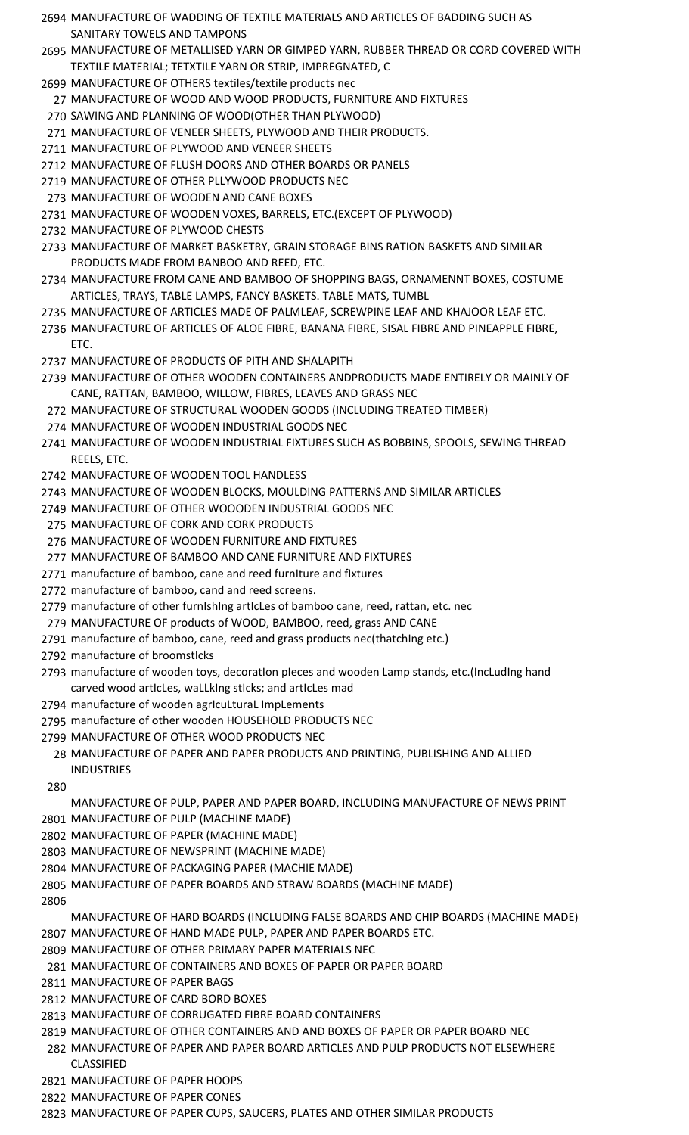- MANUFACTURE OF WADDING OF TEXTILE MATERIALS AND ARTICLES OF BADDING SUCH AS SANITARY TOWELS AND TAMPONS
- MANUFACTURE OF METALLISED YARN OR GIMPED YARN, RUBBER THREAD OR CORD COVERED WITH TEXTILE MATERIAL; TETXTILE YARN OR STRIP, IMPREGNATED, C
- MANUFACTURE OF OTHERS textiles/textile products nec
- MANUFACTURE OF WOOD AND WOOD PRODUCTS, FURNITURE AND FIXTURES
- SAWING AND PLANNING OF WOOD(OTHER THAN PLYWOOD)
- MANUFACTURE OF VENEER SHEETS, PLYWOOD AND THEIR PRODUCTS.
- MANUFACTURE OF PLYWOOD AND VENEER SHEETS
- MANUFACTURE OF FLUSH DOORS AND OTHER BOARDS OR PANELS
- MANUFACTURE OF OTHER PLLYWOOD PRODUCTS NEC
- MANUFACTURE OF WOODEN AND CANE BOXES
- MANUFACTURE OF WOODEN VOXES, BARRELS, ETC.(EXCEPT OF PLYWOOD)
- MANUFACTURE OF PLYWOOD CHESTS
- MANUFACTURE OF MARKET BASKETRY, GRAIN STORAGE BINS RATION BASKETS AND SIMILAR PRODUCTS MADE FROM BANBOO AND REED, ETC.
- MANUFACTURE FROM CANE AND BAMBOO OF SHOPPING BAGS, ORNAMENNT BOXES, COSTUME ARTICLES, TRAYS, TABLE LAMPS, FANCY BASKETS. TABLE MATS, TUMBL
- MANUFACTURE OF ARTICLES MADE OF PALMLEAF, SCREWPINE LEAF AND KHAJOOR LEAF ETC.
- MANUFACTURE OF ARTICLES OF ALOE FIBRE, BANANA FIBRE, SISAL FIBRE AND PINEAPPLE FIBRE, ETC.
- MANUFACTURE OF PRODUCTS OF PITH AND SHALAPITH
- MANUFACTURE OF OTHER WOODEN CONTAINERS ANDPRODUCTS MADE ENTIRELY OR MAINLY OF CANE, RATTAN, BAMBOO, WILLOW, FIBRES, LEAVES AND GRASS NEC
- MANUFACTURE OF STRUCTURAL WOODEN GOODS (INCLUDING TREATED TIMBER)
- MANUFACTURE OF WOODEN INDUSTRIAL GOODS NEC
- MANUFACTURE OF WOODEN INDUSTRIAL FIXTURES SUCH AS BOBBINS, SPOOLS, SEWING THREAD REELS, ETC.
- MANUFACTURE OF WOODEN TOOL HANDLESS
- MANUFACTURE OF WOODEN BLOCKS, MOULDING PATTERNS AND SIMILAR ARTICLES
- MANUFACTURE OF OTHER WOOODEN INDUSTRIAL GOODS NEC
- MANUFACTURE OF CORK AND CORK PRODUCTS
- MANUFACTURE OF WOODEN FURNITURE AND FIXTURES
- MANUFACTURE OF BAMBOO AND CANE FURNITURE AND FIXTURES
- manufacture of bamboo, cane and reed furnIture and fIxtures
- manufacture of bamboo, cand and reed screens.
- manufacture of other furnIshIng artIcLes of bamboo cane, reed, rattan, etc. nec
- MANUFACTURE OF products of WOOD, BAMBOO, reed, grass AND CANE
- manufacture of bamboo, cane, reed and grass products nec(thatchIng etc.)
- manufacture of broomstIcks
- manufacture of wooden toys, decoratIon pIeces and wooden Lamp stands, etc.(IncLudIng hand carved wood artIcLes, waLLkIng stIcks; and artIcLes mad
- 2794 manufacture of wooden agrIcuLturaL ImpLements
- manufacture of other wooden HOUSEHOLD PRODUCTS NEC
- MANUFACTURE OF OTHER WOOD PRODUCTS NEC
	- MANUFACTURE OF PAPER AND PAPER PRODUCTS AND PRINTING, PUBLISHING AND ALLIED INDUSTRIES
- - MANUFACTURE OF PULP, PAPER AND PAPER BOARD, INCLUDING MANUFACTURE OF NEWS PRINT
- MANUFACTURE OF PULP (MACHINE MADE)
- MANUFACTURE OF PAPER (MACHINE MADE)
- MANUFACTURE OF NEWSPRINT (MACHINE MADE)
- MANUFACTURE OF PACKAGING PAPER (MACHIE MADE)
- MANUFACTURE OF PAPER BOARDS AND STRAW BOARDS (MACHINE MADE)
- 

MANUFACTURE OF HARD BOARDS (INCLUDING FALSE BOARDS AND CHIP BOARDS (MACHINE MADE) MANUFACTURE OF HAND MADE PULP, PAPER AND PAPER BOARDS ETC.

- MANUFACTURE OF OTHER PRIMARY PAPER MATERIALS NEC
- MANUFACTURE OF CONTAINERS AND BOXES OF PAPER OR PAPER BOARD
- MANUFACTURE OF PAPER BAGS
- MANUFACTURE OF CARD BORD BOXES
- MANUFACTURE OF CORRUGATED FIBRE BOARD CONTAINERS
- MANUFACTURE OF OTHER CONTAINERS AND AND BOXES OF PAPER OR PAPER BOARD NEC
- MANUFACTURE OF PAPER AND PAPER BOARD ARTICLES AND PULP PRODUCTS NOT ELSEWHERE CLASSIFIED
- MANUFACTURE OF PAPER HOOPS
- MANUFACTURE OF PAPER CONES
- MANUFACTURE OF PAPER CUPS, SAUCERS, PLATES AND OTHER SIMILAR PRODUCTS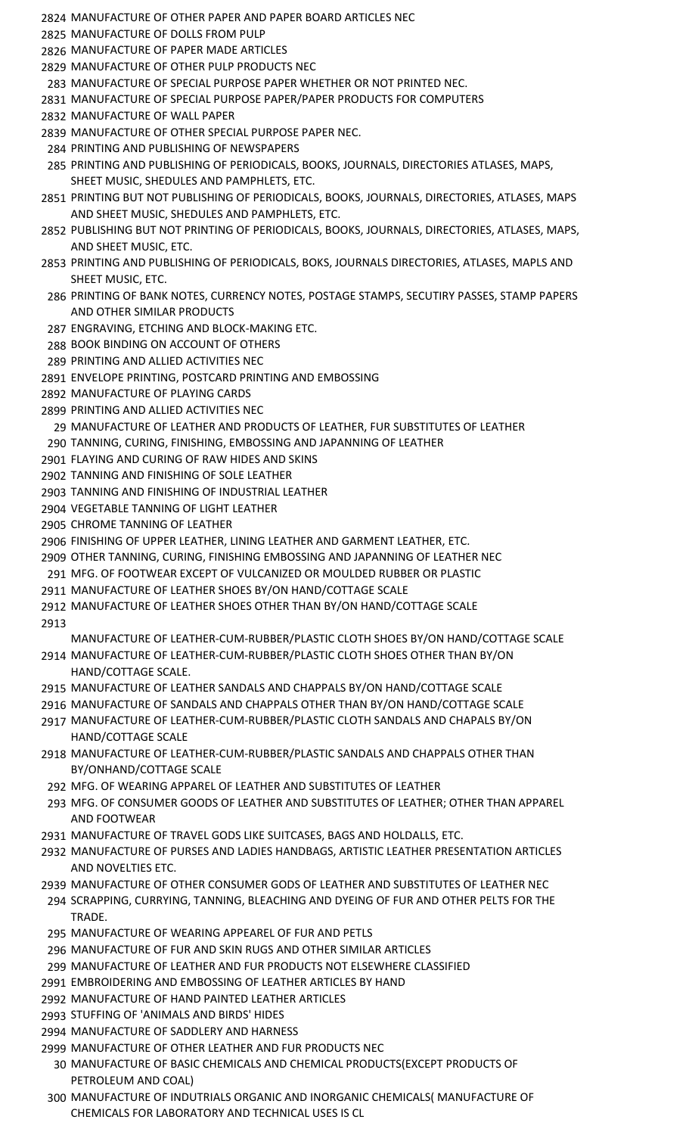- MANUFACTURE OF OTHER PAPER AND PAPER BOARD ARTICLES NEC
- MANUFACTURE OF DOLLS FROM PULP
- MANUFACTURE OF PAPER MADE ARTICLES
- MANUFACTURE OF OTHER PULP PRODUCTS NEC
- MANUFACTURE OF SPECIAL PURPOSE PAPER WHETHER OR NOT PRINTED NEC.
- MANUFACTURE OF SPECIAL PURPOSE PAPER/PAPER PRODUCTS FOR COMPUTERS
- MANUFACTURE OF WALL PAPER
- MANUFACTURE OF OTHER SPECIAL PURPOSE PAPER NEC.
- PRINTING AND PUBLISHING OF NEWSPAPERS
- PRINTING AND PUBLISHING OF PERIODICALS, BOOKS, JOURNALS, DIRECTORIES ATLASES, MAPS, SHEET MUSIC, SHEDULES AND PAMPHLETS, ETC.
- PRINTING BUT NOT PUBLISHING OF PERIODICALS, BOOKS, JOURNALS, DIRECTORIES, ATLASES, MAPS AND SHEET MUSIC, SHEDULES AND PAMPHLETS, ETC.
- PUBLISHING BUT NOT PRINTING OF PERIODICALS, BOOKS, JOURNALS, DIRECTORIES, ATLASES, MAPS, AND SHEET MUSIC, ETC.
- PRINTING AND PUBLISHING OF PERIODICALS, BOKS, JOURNALS DIRECTORIES, ATLASES, MAPLS AND SHEET MUSIC, ETC.
- PRINTING OF BANK NOTES, CURRENCY NOTES, POSTAGE STAMPS, SECUTIRY PASSES, STAMP PAPERS AND OTHER SIMILAR PRODUCTS
- ENGRAVING, ETCHING AND BLOCK-MAKING ETC.
- BOOK BINDING ON ACCOUNT OF OTHERS
- PRINTING AND ALLIED ACTIVITIES NEC
- ENVELOPE PRINTING, POSTCARD PRINTING AND EMBOSSING
- MANUFACTURE OF PLAYING CARDS
- PRINTING AND ALLIED ACTIVITIES NEC
- MANUFACTURE OF LEATHER AND PRODUCTS OF LEATHER, FUR SUBSTITUTES OF LEATHER
- TANNING, CURING, FINISHING, EMBOSSING AND JAPANNING OF LEATHER
- FLAYING AND CURING OF RAW HIDES AND SKINS
- TANNING AND FINISHING OF SOLE LEATHER
- TANNING AND FINISHING OF INDUSTRIAL LEATHER
- VEGETABLE TANNING OF LIGHT LEATHER
- CHROME TANNING OF LEATHER
- FINISHING OF UPPER LEATHER, LINING LEATHER AND GARMENT LEATHER, ETC.
- OTHER TANNING, CURING, FINISHING EMBOSSING AND JAPANNING OF LEATHER NEC
- MFG. OF FOOTWEAR EXCEPT OF VULCANIZED OR MOULDED RUBBER OR PLASTIC
- MANUFACTURE OF LEATHER SHOES BY/ON HAND/COTTAGE SCALE
- MANUFACTURE OF LEATHER SHOES OTHER THAN BY/ON HAND/COTTAGE SCALE
- MANUFACTURE OF LEATHER-CUM-RUBBER/PLASTIC CLOTH SHOES BY/ON HAND/COTTAGE SCALE MANUFACTURE OF LEATHER-CUM-RUBBER/PLASTIC CLOTH SHOES OTHER THAN BY/ON
- HAND/COTTAGE SCALE.
- MANUFACTURE OF LEATHER SANDALS AND CHAPPALS BY/ON HAND/COTTAGE SCALE
- MANUFACTURE OF SANDALS AND CHAPPALS OTHER THAN BY/ON HAND/COTTAGE SCALE MANUFACTURE OF LEATHER-CUM-RUBBER/PLASTIC CLOTH SANDALS AND CHAPALS BY/ON
- HAND/COTTAGE SCALE
- MANUFACTURE OF LEATHER-CUM-RUBBER/PLASTIC SANDALS AND CHAPPALS OTHER THAN BY/ONHAND/COTTAGE SCALE
- MFG. OF WEARING APPAREL OF LEATHER AND SUBSTITUTES OF LEATHER
- MFG. OF CONSUMER GOODS OF LEATHER AND SUBSTITUTES OF LEATHER; OTHER THAN APPAREL AND FOOTWEAR
- MANUFACTURE OF TRAVEL GODS LIKE SUITCASES, BAGS AND HOLDALLS, ETC.
- MANUFACTURE OF PURSES AND LADIES HANDBAGS, ARTISTIC LEATHER PRESENTATION ARTICLES AND NOVELTIES ETC.
- MANUFACTURE OF OTHER CONSUMER GODS OF LEATHER AND SUBSTITUTES OF LEATHER NEC
- SCRAPPING, CURRYING, TANNING, BLEACHING AND DYEING OF FUR AND OTHER PELTS FOR THE TRADE.
- MANUFACTURE OF WEARING APPEAREL OF FUR AND PETLS
- MANUFACTURE OF FUR AND SKIN RUGS AND OTHER SIMILAR ARTICLES
- MANUFACTURE OF LEATHER AND FUR PRODUCTS NOT ELSEWHERE CLASSIFIED
- EMBROIDERING AND EMBOSSING OF LEATHER ARTICLES BY HAND
- MANUFACTURE OF HAND PAINTED LEATHER ARTICLES
- STUFFING OF 'ANIMALS AND BIRDS' HIDES
- MANUFACTURE OF SADDLERY AND HARNESS
- MANUFACTURE OF OTHER LEATHER AND FUR PRODUCTS NEC
- MANUFACTURE OF BASIC CHEMICALS AND CHEMICAL PRODUCTS(EXCEPT PRODUCTS OF PETROLEUM AND COAL)
- MANUFACTURE OF INDUTRIALS ORGANIC AND INORGANIC CHEMICALS( MANUFACTURE OF CHEMICALS FOR LABORATORY AND TECHNICAL USES IS CL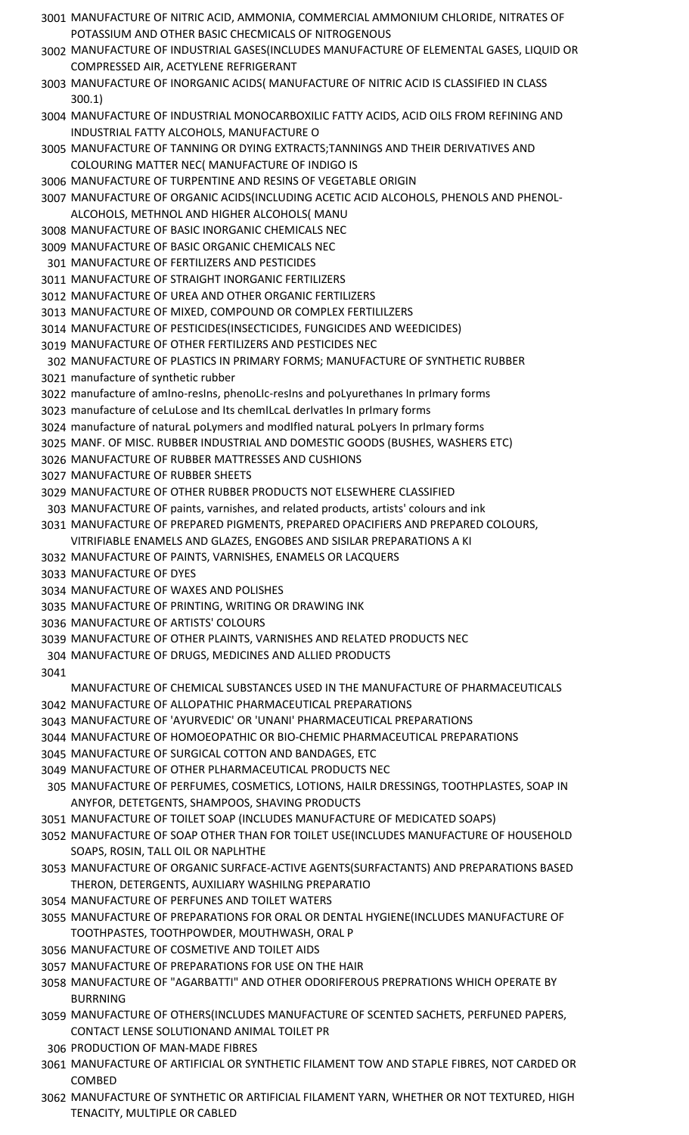- MANUFACTURE OF NITRIC ACID, AMMONIA, COMMERCIAL AMMONIUM CHLORIDE, NITRATES OF POTASSIUM AND OTHER BASIC CHECMICALS OF NITROGENOUS
- MANUFACTURE OF INDUSTRIAL GASES(INCLUDES MANUFACTURE OF ELEMENTAL GASES, LIQUID OR COMPRESSED AIR, ACETYLENE REFRIGERANT
- MANUFACTURE OF INORGANIC ACIDS( MANUFACTURE OF NITRIC ACID IS CLASSIFIED IN CLASS 300.1)
- MANUFACTURE OF INDUSTRIAL MONOCARBOXILIC FATTY ACIDS, ACID OILS FROM REFINING AND INDUSTRIAL FATTY ALCOHOLS, MANUFACTURE O
- MANUFACTURE OF TANNING OR DYING EXTRACTS;TANNINGS AND THEIR DERIVATIVES AND COLOURING MATTER NEC( MANUFACTURE OF INDIGO IS
- MANUFACTURE OF TURPENTINE AND RESINS OF VEGETABLE ORIGIN
- MANUFACTURE OF ORGANIC ACIDS(INCLUDING ACETIC ACID ALCOHOLS, PHENOLS AND PHENOL-ALCOHOLS, METHNOL AND HIGHER ALCOHOLS( MANU
- MANUFACTURE OF BASIC INORGANIC CHEMICALS NEC
- MANUFACTURE OF BASIC ORGANIC CHEMICALS NEC
- MANUFACTURE OF FERTILIZERS AND PESTICIDES
- MANUFACTURE OF STRAIGHT INORGANIC FERTILIZERS
- MANUFACTURE OF UREA AND OTHER ORGANIC FERTILIZERS
- MANUFACTURE OF MIXED, COMPOUND OR COMPLEX FERTILILZERS
- MANUFACTURE OF PESTICIDES(INSECTICIDES, FUNGICIDES AND WEEDICIDES)
- MANUFACTURE OF OTHER FERTILIZERS AND PESTICIDES NEC
- MANUFACTURE OF PLASTICS IN PRIMARY FORMS; MANUFACTURE OF SYNTHETIC RUBBER manufacture of synthetic rubber
- manufacture of amIno-resIns, phenoLIc-resIns and poLyurethanes In prImary forms
- 3023 manufacture of ceLuLose and Its chemILcaL derIvatIes In prImary forms
- manufacture of naturaL poLymers and modIfIed naturaL poLyers In prImary forms
- MANF. OF MISC. RUBBER INDUSTRIAL AND DOMESTIC GOODS (BUSHES, WASHERS ETC)
- MANUFACTURE OF RUBBER MATTRESSES AND CUSHIONS
- MANUFACTURE OF RUBBER SHEETS
- MANUFACTURE OF OTHER RUBBER PRODUCTS NOT ELSEWHERE CLASSIFIED
- MANUFACTURE OF paints, varnishes, and related products, artists' colours and ink
- MANUFACTURE OF PREPARED PIGMENTS, PREPARED OPACIFIERS AND PREPARED COLOURS,
- VITRIFIABLE ENAMELS AND GLAZES, ENGOBES AND SISILAR PREPARATIONS A KI
- MANUFACTURE OF PAINTS, VARNISHES, ENAMELS OR LACQUERS
- MANUFACTURE OF DYES
- MANUFACTURE OF WAXES AND POLISHES
- MANUFACTURE OF PRINTING, WRITING OR DRAWING INK
- MANUFACTURE OF ARTISTS' COLOURS
- MANUFACTURE OF OTHER PLAINTS, VARNISHES AND RELATED PRODUCTS NEC
- MANUFACTURE OF DRUGS, MEDICINES AND ALLIED PRODUCTS
- 

MANUFACTURE OF CHEMICAL SUBSTANCES USED IN THE MANUFACTURE OF PHARMACEUTICALS MANUFACTURE OF ALLOPATHIC PHARMACEUTICAL PREPARATIONS

- MANUFACTURE OF 'AYURVEDIC' OR 'UNANI' PHARMACEUTICAL PREPARATIONS
- MANUFACTURE OF HOMOEOPATHIC OR BIO-CHEMIC PHARMACEUTICAL PREPARATIONS
- MANUFACTURE OF SURGICAL COTTON AND BANDAGES, ETC
- MANUFACTURE OF OTHER PLHARMACEUTICAL PRODUCTS NEC
- MANUFACTURE OF PERFUMES, COSMETICS, LOTIONS, HAILR DRESSINGS, TOOTHPLASTES, SOAP IN ANYFOR, DETETGENTS, SHAMPOOS, SHAVING PRODUCTS
- MANUFACTURE OF TOILET SOAP (INCLUDES MANUFACTURE OF MEDICATED SOAPS)
- MANUFACTURE OF SOAP OTHER THAN FOR TOILET USE(INCLUDES MANUFACTURE OF HOUSEHOLD SOAPS, ROSIN, TALL OIL OR NAPLHTHE
- MANUFACTURE OF ORGANIC SURFACE-ACTIVE AGENTS(SURFACTANTS) AND PREPARATIONS BASED THERON, DETERGENTS, AUXILIARY WASHILNG PREPARATIO
- MANUFACTURE OF PERFUNES AND TOILET WATERS
- MANUFACTURE OF PREPARATIONS FOR ORAL OR DENTAL HYGIENE(INCLUDES MANUFACTURE OF TOOTHPASTES, TOOTHPOWDER, MOUTHWASH, ORAL P
- MANUFACTURE OF COSMETIVE AND TOILET AIDS
- MANUFACTURE OF PREPARATIONS FOR USE ON THE HAIR
- MANUFACTURE OF "AGARBATTI" AND OTHER ODORIFEROUS PREPRATIONS WHICH OPERATE BY BURRNING
- MANUFACTURE OF OTHERS(INCLUDES MANUFACTURE OF SCENTED SACHETS, PERFUNED PAPERS, CONTACT LENSE SOLUTIONAND ANIMAL TOILET PR
- PRODUCTION OF MAN-MADE FIBRES
- MANUFACTURE OF ARTIFICIAL OR SYNTHETIC FILAMENT TOW AND STAPLE FIBRES, NOT CARDED OR **COMBED**
- MANUFACTURE OF SYNTHETIC OR ARTIFICIAL FILAMENT YARN, WHETHER OR NOT TEXTURED, HIGH TENACITY, MULTIPLE OR CABLED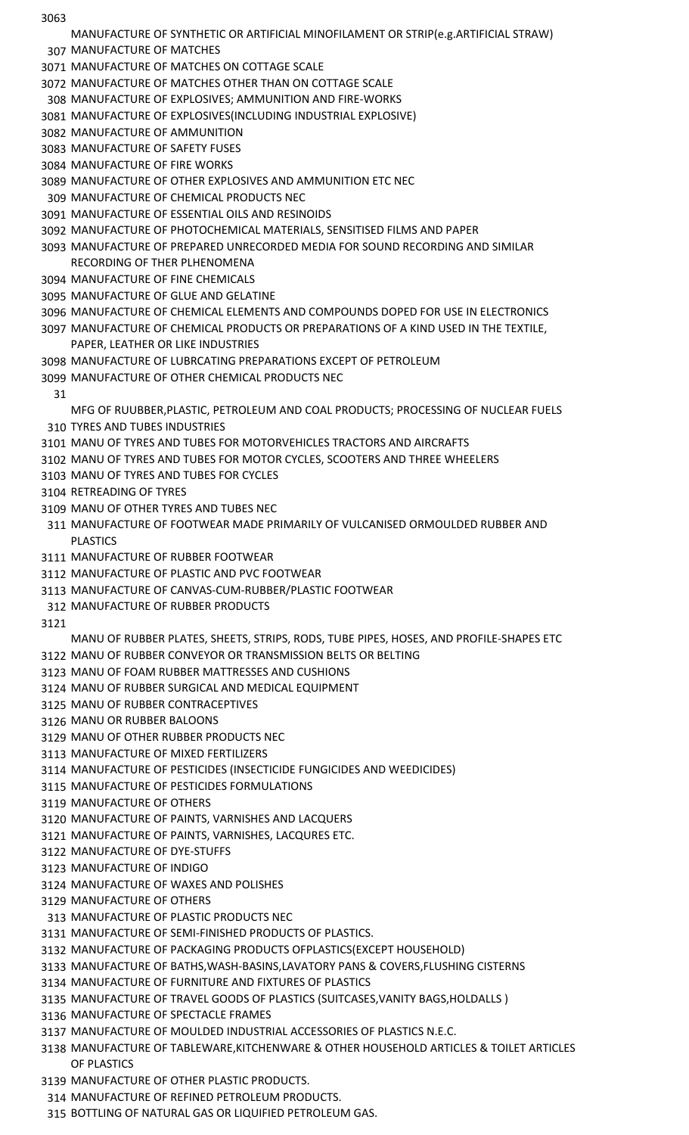MANUFACTURE OF SYNTHETIC OR ARTIFICIAL MINOFILAMENT OR STRIP(e.g.ARTIFICIAL STRAW)

MANUFACTURE OF MATCHES

MANUFACTURE OF MATCHES ON COTTAGE SCALE

MANUFACTURE OF MATCHES OTHER THAN ON COTTAGE SCALE

- MANUFACTURE OF EXPLOSIVES; AMMUNITION AND FIRE-WORKS
- MANUFACTURE OF EXPLOSIVES(INCLUDING INDUSTRIAL EXPLOSIVE)
- MANUFACTURE OF AMMUNITION
- MANUFACTURE OF SAFETY FUSES
- MANUFACTURE OF FIRE WORKS
- MANUFACTURE OF OTHER EXPLOSIVES AND AMMUNITION ETC NEC
- MANUFACTURE OF CHEMICAL PRODUCTS NEC
- MANUFACTURE OF ESSENTIAL OILS AND RESINOIDS
- MANUFACTURE OF PHOTOCHEMICAL MATERIALS, SENSITISED FILMS AND PAPER
- MANUFACTURE OF PREPARED UNRECORDED MEDIA FOR SOUND RECORDING AND SIMILAR RECORDING OF THER PLHENOMENA
- MANUFACTURE OF FINE CHEMICALS
- MANUFACTURE OF GLUE AND GELATINE
- MANUFACTURE OF CHEMICAL ELEMENTS AND COMPOUNDS DOPED FOR USE IN ELECTRONICS
- MANUFACTURE OF CHEMICAL PRODUCTS OR PREPARATIONS OF A KIND USED IN THE TEXTILE, PAPER, LEATHER OR LIKE INDUSTRIES
- MANUFACTURE OF LUBRCATING PREPARATIONS EXCEPT OF PETROLEUM
- MANUFACTURE OF OTHER CHEMICAL PRODUCTS NEC
	-

MFG OF RUUBBER,PLASTIC, PETROLEUM AND COAL PRODUCTS; PROCESSING OF NUCLEAR FUELS TYRES AND TUBES INDUSTRIES

- MANU OF TYRES AND TUBES FOR MOTORVEHICLES TRACTORS AND AIRCRAFTS
- MANU OF TYRES AND TUBES FOR MOTOR CYCLES, SCOOTERS AND THREE WHEELERS
- MANU OF TYRES AND TUBES FOR CYCLES
- RETREADING OF TYRES
- MANU OF OTHER TYRES AND TUBES NEC
- MANUFACTURE OF FOOTWEAR MADE PRIMARILY OF VULCANISED ORMOULDED RUBBER AND PLASTICS
- MANUFACTURE OF RUBBER FOOTWEAR
- MANUFACTURE OF PLASTIC AND PVC FOOTWEAR
- MANUFACTURE OF CANVAS-CUM-RUBBER/PLASTIC FOOTWEAR
- MANUFACTURE OF RUBBER PRODUCTS
- 

MANU OF RUBBER PLATES, SHEETS, STRIPS, RODS, TUBE PIPES, HOSES, AND PROFILE-SHAPES ETC MANU OF RUBBER CONVEYOR OR TRANSMISSION BELTS OR BELTING

- MANU OF FOAM RUBBER MATTRESSES AND CUSHIONS
- MANU OF RUBBER SURGICAL AND MEDICAL EQUIPMENT
- MANU OF RUBBER CONTRACEPTIVES
- MANU OR RUBBER BALOONS
- MANU OF OTHER RUBBER PRODUCTS NEC
- MANUFACTURE OF MIXED FERTILIZERS
- MANUFACTURE OF PESTICIDES (INSECTICIDE FUNGICIDES AND WEEDICIDES)
- MANUFACTURE OF PESTICIDES FORMULATIONS
- MANUFACTURE OF OTHERS
- MANUFACTURE OF PAINTS, VARNISHES AND LACQUERS
- MANUFACTURE OF PAINTS, VARNISHES, LACQURES ETC.
- MANUFACTURE OF DYE-STUFFS
- MANUFACTURE OF INDIGO
- MANUFACTURE OF WAXES AND POLISHES
- MANUFACTURE OF OTHERS
- MANUFACTURE OF PLASTIC PRODUCTS NEC
- MANUFACTURE OF SEMI-FINISHED PRODUCTS OF PLASTICS.
- MANUFACTURE OF PACKAGING PRODUCTS OFPLASTICS(EXCEPT HOUSEHOLD)
- MANUFACTURE OF BATHS,WASH-BASINS,LAVATORY PANS & COVERS,FLUSHING CISTERNS
- MANUFACTURE OF FURNITURE AND FIXTURES OF PLASTICS
- MANUFACTURE OF TRAVEL GOODS OF PLASTICS (SUITCASES,VANITY BAGS,HOLDALLS )
- MANUFACTURE OF SPECTACLE FRAMES
- MANUFACTURE OF MOULDED INDUSTRIAL ACCESSORIES OF PLASTICS N.E.C.
- MANUFACTURE OF TABLEWARE,KITCHENWARE & OTHER HOUSEHOLD ARTICLES & TOILET ARTICLES OF PLASTICS
- MANUFACTURE OF OTHER PLASTIC PRODUCTS.
- MANUFACTURE OF REFINED PETROLEUM PRODUCTS.
- BOTTLING OF NATURAL GAS OR LIQUIFIED PETROLEUM GAS.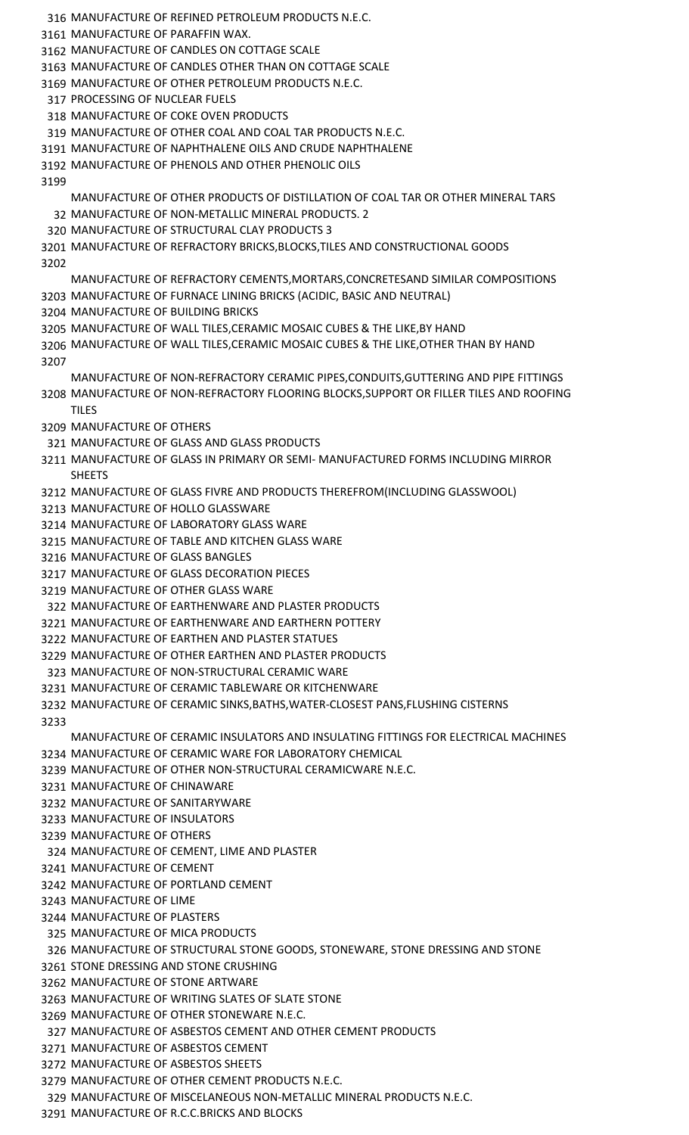MANUFACTURE OF REFINED PETROLEUM PRODUCTS N.E.C. MANUFACTURE OF PARAFFIN WAX. MANUFACTURE OF CANDLES ON COTTAGE SCALE MANUFACTURE OF CANDLES OTHER THAN ON COTTAGE SCALE MANUFACTURE OF OTHER PETROLEUM PRODUCTS N.E.C. PROCESSING OF NUCLEAR FUELS MANUFACTURE OF COKE OVEN PRODUCTS MANUFACTURE OF OTHER COAL AND COAL TAR PRODUCTS N.E.C. MANUFACTURE OF NAPHTHALENE OILS AND CRUDE NAPHTHALENE MANUFACTURE OF PHENOLS AND OTHER PHENOLIC OILS MANUFACTURE OF OTHER PRODUCTS OF DISTILLATION OF COAL TAR OR OTHER MINERAL TARS MANUFACTURE OF NON-METALLIC MINERAL PRODUCTS. 2 MANUFACTURE OF STRUCTURAL CLAY PRODUCTS 3 MANUFACTURE OF REFRACTORY BRICKS,BLOCKS,TILES AND CONSTRUCTIONAL GOODS MANUFACTURE OF REFRACTORY CEMENTS,MORTARS,CONCRETESAND SIMILAR COMPOSITIONS MANUFACTURE OF FURNACE LINING BRICKS (ACIDIC, BASIC AND NEUTRAL) MANUFACTURE OF BUILDING BRICKS MANUFACTURE OF WALL TILES,CERAMIC MOSAIC CUBES & THE LIKE,BY HAND MANUFACTURE OF WALL TILES,CERAMIC MOSAIC CUBES & THE LIKE,OTHER THAN BY HAND MANUFACTURE OF NON-REFRACTORY CERAMIC PIPES,CONDUITS,GUTTERING AND PIPE FITTINGS MANUFACTURE OF NON-REFRACTORY FLOORING BLOCKS,SUPPORT OR FILLER TILES AND ROOFING TILES MANUFACTURE OF OTHERS MANUFACTURE OF GLASS AND GLASS PRODUCTS MANUFACTURE OF GLASS IN PRIMARY OR SEMI- MANUFACTURED FORMS INCLUDING MIRROR **SHEETS**  MANUFACTURE OF GLASS FIVRE AND PRODUCTS THEREFROM(INCLUDING GLASSWOOL) MANUFACTURE OF HOLLO GLASSWARE MANUFACTURE OF LABORATORY GLASS WARE MANUFACTURE OF TABLE AND KITCHEN GLASS WARE MANUFACTURE OF GLASS BANGLES MANUFACTURE OF GLASS DECORATION PIECES MANUFACTURE OF OTHER GLASS WARE MANUFACTURE OF EARTHENWARE AND PLASTER PRODUCTS MANUFACTURE OF EARTHENWARE AND EARTHERN POTTERY MANUFACTURE OF EARTHEN AND PLASTER STATUES MANUFACTURE OF OTHER EARTHEN AND PLASTER PRODUCTS MANUFACTURE OF NON-STRUCTURAL CERAMIC WARE MANUFACTURE OF CERAMIC TABLEWARE OR KITCHENWARE MANUFACTURE OF CERAMIC SINKS,BATHS,WATER-CLOSEST PANS,FLUSHING CISTERNS MANUFACTURE OF CERAMIC INSULATORS AND INSULATING FITTINGS FOR ELECTRICAL MACHINES MANUFACTURE OF CERAMIC WARE FOR LABORATORY CHEMICAL MANUFACTURE OF OTHER NON-STRUCTURAL CERAMICWARE N.E.C. MANUFACTURE OF CHINAWARE MANUFACTURE OF SANITARYWARE MANUFACTURE OF INSULATORS MANUFACTURE OF OTHERS MANUFACTURE OF CEMENT, LIME AND PLASTER MANUFACTURE OF CEMENT MANUFACTURE OF PORTLAND CEMENT MANUFACTURE OF LIME MANUFACTURE OF PLASTERS MANUFACTURE OF MICA PRODUCTS MANUFACTURE OF STRUCTURAL STONE GOODS, STONEWARE, STONE DRESSING AND STONE STONE DRESSING AND STONE CRUSHING MANUFACTURE OF STONE ARTWARE MANUFACTURE OF WRITING SLATES OF SLATE STONE MANUFACTURE OF OTHER STONEWARE N.E.C. MANUFACTURE OF ASBESTOS CEMENT AND OTHER CEMENT PRODUCTS MANUFACTURE OF ASBESTOS CEMENT MANUFACTURE OF ASBESTOS SHEETS MANUFACTURE OF OTHER CEMENT PRODUCTS N.E.C.

MANUFACTURE OF MISCELANEOUS NON-METALLIC MINERAL PRODUCTS N.E.C.

MANUFACTURE OF R.C.C.BRICKS AND BLOCKS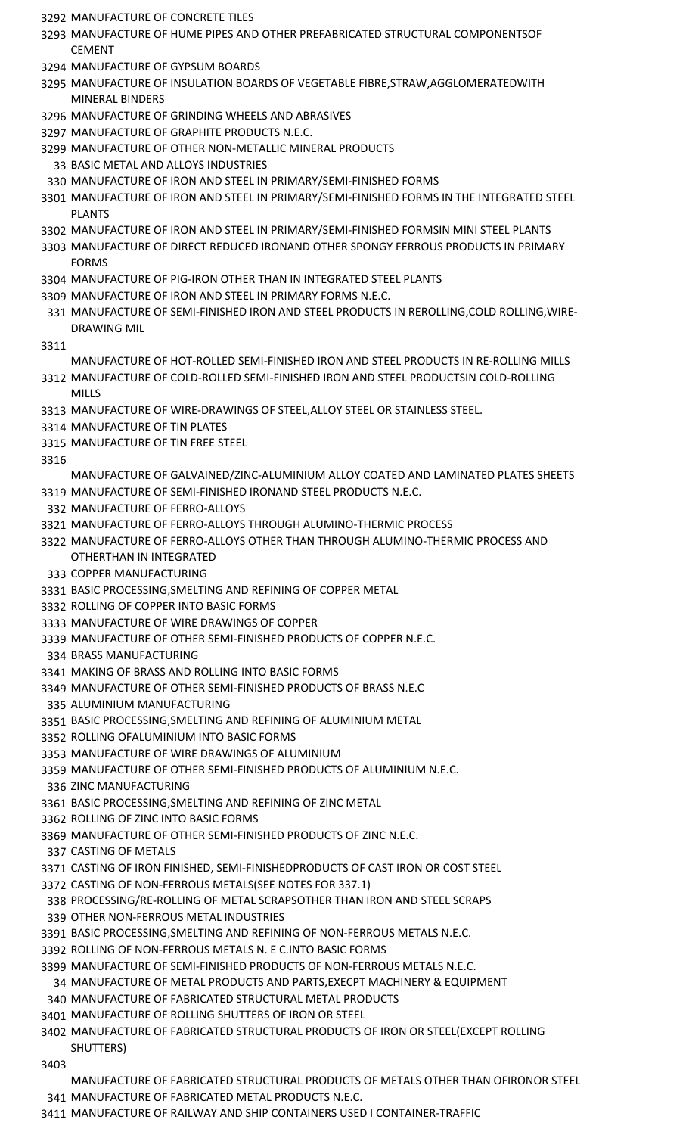MANUFACTURE OF CONCRETE TILES

- MANUFACTURE OF HUME PIPES AND OTHER PREFABRICATED STRUCTURAL COMPONENTSOF **CEMENT**
- MANUFACTURE OF GYPSUM BOARDS
- MANUFACTURE OF INSULATION BOARDS OF VEGETABLE FIBRE,STRAW,AGGLOMERATEDWITH MINERAL BINDERS
- MANUFACTURE OF GRINDING WHEELS AND ABRASIVES
- MANUFACTURE OF GRAPHITE PRODUCTS N.E.C.
- MANUFACTURE OF OTHER NON-METALLIC MINERAL PRODUCTS
	- BASIC METAL AND ALLOYS INDUSTRIES
- MANUFACTURE OF IRON AND STEEL IN PRIMARY/SEMI-FINISHED FORMS
- MANUFACTURE OF IRON AND STEEL IN PRIMARY/SEMI-FINISHED FORMS IN THE INTEGRATED STEEL PLANTS
- MANUFACTURE OF IRON AND STEEL IN PRIMARY/SEMI-FINISHED FORMSIN MINI STEEL PLANTS
- MANUFACTURE OF DIRECT REDUCED IRONAND OTHER SPONGY FERROUS PRODUCTS IN PRIMARY **FORMS**
- MANUFACTURE OF PIG-IRON OTHER THAN IN INTEGRATED STEEL PLANTS
- MANUFACTURE OF IRON AND STEEL IN PRIMARY FORMS N.E.C.
- MANUFACTURE OF SEMI-FINISHED IRON AND STEEL PRODUCTS IN REROLLING,COLD ROLLING,WIRE-DRAWING MIL

## 

- MANUFACTURE OF HOT-ROLLED SEMI-FINISHED IRON AND STEEL PRODUCTS IN RE-ROLLING MILLS MANUFACTURE OF COLD-ROLLED SEMI-FINISHED IRON AND STEEL PRODUCTSIN COLD-ROLLING
- MILLS
- MANUFACTURE OF WIRE-DRAWINGS OF STEEL,ALLOY STEEL OR STAINLESS STEEL.
- MANUFACTURE OF TIN PLATES
- MANUFACTURE OF TIN FREE STEEL
- 

MANUFACTURE OF GALVAINED/ZINC-ALUMINIUM ALLOY COATED AND LAMINATED PLATES SHEETS MANUFACTURE OF SEMI-FINISHED IRONAND STEEL PRODUCTS N.E.C.

- MANUFACTURE OF FERRO-ALLOYS
- MANUFACTURE OF FERRO-ALLOYS THROUGH ALUMINO-THERMIC PROCESS
- MANUFACTURE OF FERRO-ALLOYS OTHER THAN THROUGH ALUMINO-THERMIC PROCESS AND OTHERTHAN IN INTEGRATED
- COPPER MANUFACTURING
- BASIC PROCESSING,SMELTING AND REFINING OF COPPER METAL
- ROLLING OF COPPER INTO BASIC FORMS
- MANUFACTURE OF WIRE DRAWINGS OF COPPER
- MANUFACTURE OF OTHER SEMI-FINISHED PRODUCTS OF COPPER N.E.C.
- BRASS MANUFACTURING
- MAKING OF BRASS AND ROLLING INTO BASIC FORMS
- MANUFACTURE OF OTHER SEMI-FINISHED PRODUCTS OF BRASS N.E.C
- ALUMINIUM MANUFACTURING
- BASIC PROCESSING,SMELTING AND REFINING OF ALUMINIUM METAL
- ROLLING OFALUMINIUM INTO BASIC FORMS
- MANUFACTURE OF WIRE DRAWINGS OF ALUMINIUM
- MANUFACTURE OF OTHER SEMI-FINISHED PRODUCTS OF ALUMINIUM N.E.C.
- ZINC MANUFACTURING
- BASIC PROCESSING,SMELTING AND REFINING OF ZINC METAL
- ROLLING OF ZINC INTO BASIC FORMS
- MANUFACTURE OF OTHER SEMI-FINISHED PRODUCTS OF ZINC N.E.C.
- CASTING OF METALS
- CASTING OF IRON FINISHED, SEMI-FINISHEDPRODUCTS OF CAST IRON OR COST STEEL
- CASTING OF NON-FERROUS METALS(SEE NOTES FOR 337.1)
- PROCESSING/RE-ROLLING OF METAL SCRAPSOTHER THAN IRON AND STEEL SCRAPS
- OTHER NON-FERROUS METAL INDUSTRIES
- BASIC PROCESSING,SMELTING AND REFINING OF NON-FERROUS METALS N.E.C.
- ROLLING OF NON-FERROUS METALS N. E C.INTO BASIC FORMS
- MANUFACTURE OF SEMI-FINISHED PRODUCTS OF NON-FERROUS METALS N.E.C.
- MANUFACTURE OF METAL PRODUCTS AND PARTS,EXECPT MACHINERY & EQUIPMENT MANUFACTURE OF FABRICATED STRUCTURAL METAL PRODUCTS
- MANUFACTURE OF ROLLING SHUTTERS OF IRON OR STEEL
- MANUFACTURE OF FABRICATED STRUCTURAL PRODUCTS OF IRON OR STEEL(EXCEPT ROLLING SHUTTERS)
- - MANUFACTURE OF FABRICATED STRUCTURAL PRODUCTS OF METALS OTHER THAN OFIRONOR STEEL
- MANUFACTURE OF FABRICATED METAL PRODUCTS N.E.C.
- MANUFACTURE OF RAILWAY AND SHIP CONTAINERS USED I CONTAINER-TRAFFIC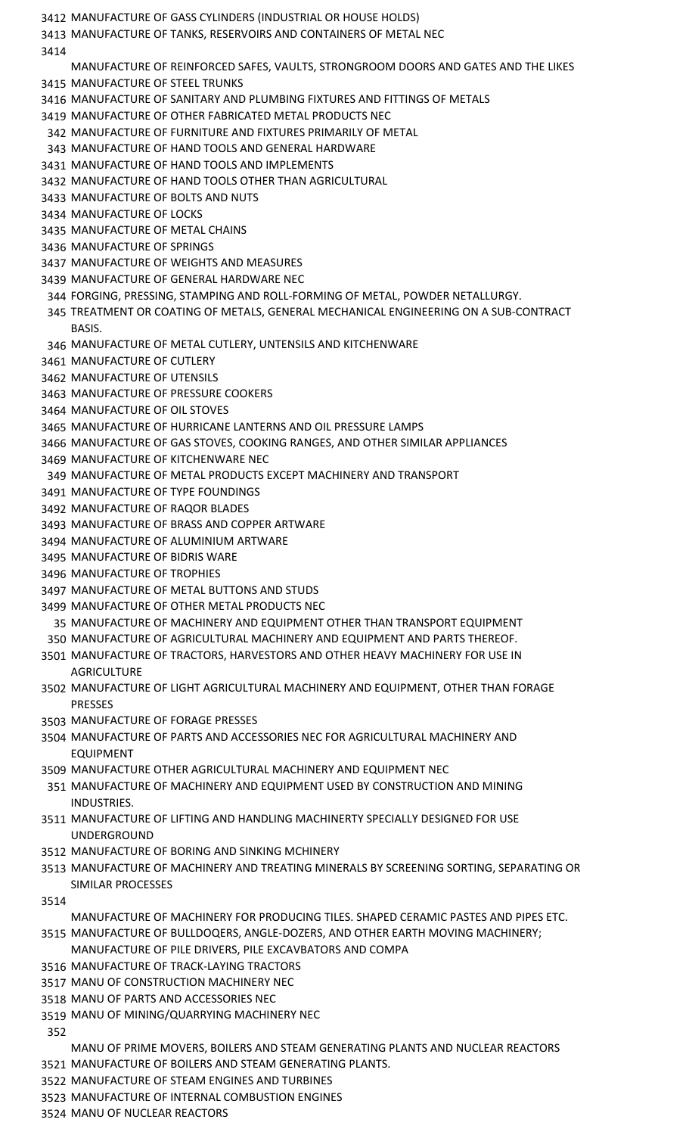- MANUFACTURE OF GASS CYLINDERS (INDUSTRIAL OR HOUSE HOLDS)
- MANUFACTURE OF TANKS, RESERVOIRS AND CONTAINERS OF METAL NEC
- 
- MANUFACTURE OF REINFORCED SAFES, VAULTS, STRONGROOM DOORS AND GATES AND THE LIKES MANUFACTURE OF STEEL TRUNKS
- MANUFACTURE OF SANITARY AND PLUMBING FIXTURES AND FITTINGS OF METALS
- MANUFACTURE OF OTHER FABRICATED METAL PRODUCTS NEC
- MANUFACTURE OF FURNITURE AND FIXTURES PRIMARILY OF METAL
- MANUFACTURE OF HAND TOOLS AND GENERAL HARDWARE
- MANUFACTURE OF HAND TOOLS AND IMPLEMENTS
- MANUFACTURE OF HAND TOOLS OTHER THAN AGRICULTURAL
- MANUFACTURE OF BOLTS AND NUTS
- MANUFACTURE OF LOCKS
- MANUFACTURE OF METAL CHAINS
- MANUFACTURE OF SPRINGS
- MANUFACTURE OF WEIGHTS AND MEASURES
- MANUFACTURE OF GENERAL HARDWARE NEC
- FORGING, PRESSING, STAMPING AND ROLL-FORMING OF METAL, POWDER NETALLURGY.
- TREATMENT OR COATING OF METALS, GENERAL MECHANICAL ENGINEERING ON A SUB-CONTRACT BASIS.
- MANUFACTURE OF METAL CUTLERY, UNTENSILS AND KITCHENWARE
- MANUFACTURE OF CUTLERY
- MANUFACTURE OF UTENSILS
- MANUFACTURE OF PRESSURE COOKERS
- MANUFACTURE OF OIL STOVES
- MANUFACTURE OF HURRICANE LANTERNS AND OIL PRESSURE LAMPS
- MANUFACTURE OF GAS STOVES, COOKING RANGES, AND OTHER SIMILAR APPLIANCES
- MANUFACTURE OF KITCHENWARE NEC
- MANUFACTURE OF METAL PRODUCTS EXCEPT MACHINERY AND TRANSPORT
- MANUFACTURE OF TYPE FOUNDINGS
- MANUFACTURE OF RAQOR BLADES
- MANUFACTURE OF BRASS AND COPPER ARTWARE
- MANUFACTURE OF ALUMINIUM ARTWARE
- MANUFACTURE OF BIDRIS WARE
- MANUFACTURE OF TROPHIES
- MANUFACTURE OF METAL BUTTONS AND STUDS
- MANUFACTURE OF OTHER METAL PRODUCTS NEC
	- MANUFACTURE OF MACHINERY AND EQUIPMENT OTHER THAN TRANSPORT EQUIPMENT
- MANUFACTURE OF AGRICULTURAL MACHINERY AND EQUIPMENT AND PARTS THEREOF.
- MANUFACTURE OF TRACTORS, HARVESTORS AND OTHER HEAVY MACHINERY FOR USE IN **AGRICULTURE**
- MANUFACTURE OF LIGHT AGRICULTURAL MACHINERY AND EQUIPMENT, OTHER THAN FORAGE PRESSES
- MANUFACTURE OF FORAGE PRESSES
- MANUFACTURE OF PARTS AND ACCESSORIES NEC FOR AGRICULTURAL MACHINERY AND EQUIPMENT
- MANUFACTURE OTHER AGRICULTURAL MACHINERY AND EQUIPMENT NEC
- MANUFACTURE OF MACHINERY AND EQUIPMENT USED BY CONSTRUCTION AND MINING INDUSTRIES.
- MANUFACTURE OF LIFTING AND HANDLING MACHINERTY SPECIALLY DESIGNED FOR USE UNDERGROUND
- MANUFACTURE OF BORING AND SINKING MCHINERY
- MANUFACTURE OF MACHINERY AND TREATING MINERALS BY SCREENING SORTING, SEPARATING OR SIMILAR PROCESSES
- - MANUFACTURE OF MACHINERY FOR PRODUCING TILES. SHAPED CERAMIC PASTES AND PIPES ETC.
- MANUFACTURE OF BULLDOQERS, ANGLE-DOZERS, AND OTHER EARTH MOVING MACHINERY; MANUFACTURE OF PILE DRIVERS, PILE EXCAVBATORS AND COMPA
- MANUFACTURE OF TRACK-LAYING TRACTORS
- MANU OF CONSTRUCTION MACHINERY NEC
- MANU OF PARTS AND ACCESSORIES NEC
- MANU OF MINING/QUARRYING MACHINERY NEC
- - MANU OF PRIME MOVERS, BOILERS AND STEAM GENERATING PLANTS AND NUCLEAR REACTORS
- MANUFACTURE OF BOILERS AND STEAM GENERATING PLANTS.
- MANUFACTURE OF STEAM ENGINES AND TURBINES MANUFACTURE OF INTERNAL COMBUSTION ENGINES
- MANU OF NUCLEAR REACTORS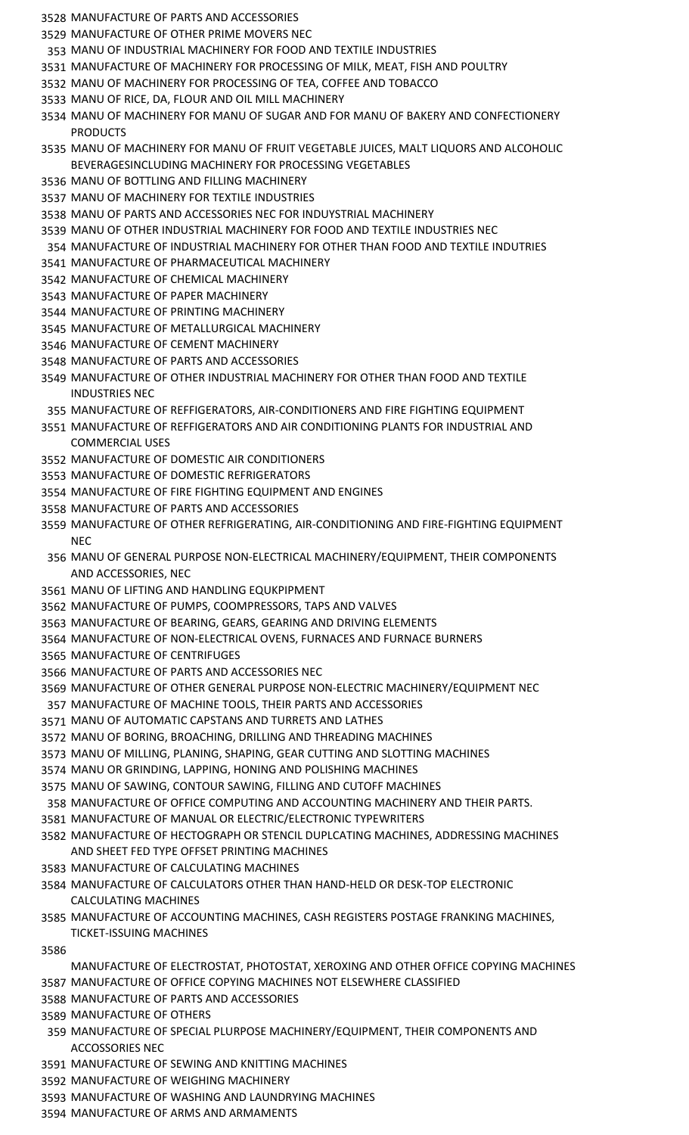- MANUFACTURE OF PARTS AND ACCESSORIES
- MANUFACTURE OF OTHER PRIME MOVERS NEC
- MANU OF INDUSTRIAL MACHINERY FOR FOOD AND TEXTILE INDUSTRIES
- MANUFACTURE OF MACHINERY FOR PROCESSING OF MILK, MEAT, FISH AND POULTRY
- MANU OF MACHINERY FOR PROCESSING OF TEA, COFFEE AND TOBACCO
- MANU OF RICE, DA, FLOUR AND OIL MILL MACHINERY
- MANU OF MACHINERY FOR MANU OF SUGAR AND FOR MANU OF BAKERY AND CONFECTIONERY PRODUCTS
- MANU OF MACHINERY FOR MANU OF FRUIT VEGETABLE JUICES, MALT LIQUORS AND ALCOHOLIC BEVERAGESINCLUDING MACHINERY FOR PROCESSING VEGETABLES
- MANU OF BOTTLING AND FILLING MACHINERY
- MANU OF MACHINERY FOR TEXTILE INDUSTRIES
- MANU OF PARTS AND ACCESSORIES NEC FOR INDUYSTRIAL MACHINERY
- MANU OF OTHER INDUSTRIAL MACHINERY FOR FOOD AND TEXTILE INDUSTRIES NEC
- MANUFACTURE OF INDUSTRIAL MACHINERY FOR OTHER THAN FOOD AND TEXTILE INDUTRIES
- MANUFACTURE OF PHARMACEUTICAL MACHINERY
- MANUFACTURE OF CHEMICAL MACHINERY
- MANUFACTURE OF PAPER MACHINERY
- MANUFACTURE OF PRINTING MACHINERY
- MANUFACTURE OF METALLURGICAL MACHINERY
- MANUFACTURE OF CEMENT MACHINERY
- MANUFACTURE OF PARTS AND ACCESSORIES
- MANUFACTURE OF OTHER INDUSTRIAL MACHINERY FOR OTHER THAN FOOD AND TEXTILE INDUSTRIES NEC
- MANUFACTURE OF REFFIGERATORS, AIR-CONDITIONERS AND FIRE FIGHTING EQUIPMENT
- MANUFACTURE OF REFFIGERATORS AND AIR CONDITIONING PLANTS FOR INDUSTRIAL AND COMMERCIAL USES
- MANUFACTURE OF DOMESTIC AIR CONDITIONERS
- MANUFACTURE OF DOMESTIC REFRIGERATORS
- MANUFACTURE OF FIRE FIGHTING EQUIPMENT AND ENGINES
- MANUFACTURE OF PARTS AND ACCESSORIES
- MANUFACTURE OF OTHER REFRIGERATING, AIR-CONDITIONING AND FIRE-FIGHTING EQUIPMENT **NEC**
- MANU OF GENERAL PURPOSE NON-ELECTRICAL MACHINERY/EQUIPMENT, THEIR COMPONENTS AND ACCESSORIES, NEC
- MANU OF LIFTING AND HANDLING EQUKPIPMENT
- MANUFACTURE OF PUMPS, COOMPRESSORS, TAPS AND VALVES
- MANUFACTURE OF BEARING, GEARS, GEARING AND DRIVING ELEMENTS
- MANUFACTURE OF NON-ELECTRICAL OVENS, FURNACES AND FURNACE BURNERS
- MANUFACTURE OF CENTRIFUGES
- MANUFACTURE OF PARTS AND ACCESSORIES NEC
- MANUFACTURE OF OTHER GENERAL PURPOSE NON-ELECTRIC MACHINERY/EQUIPMENT NEC
- MANUFACTURE OF MACHINE TOOLS, THEIR PARTS AND ACCESSORIES
- MANU OF AUTOMATIC CAPSTANS AND TURRETS AND LATHES
- MANU OF BORING, BROACHING, DRILLING AND THREADING MACHINES
- MANU OF MILLING, PLANING, SHAPING, GEAR CUTTING AND SLOTTING MACHINES
- MANU OR GRINDING, LAPPING, HONING AND POLISHING MACHINES
- MANU OF SAWING, CONTOUR SAWING, FILLING AND CUTOFF MACHINES
- MANUFACTURE OF OFFICE COMPUTING AND ACCOUNTING MACHINERY AND THEIR PARTS.
- MANUFACTURE OF MANUAL OR ELECTRIC/ELECTRONIC TYPEWRITERS
- MANUFACTURE OF HECTOGRAPH OR STENCIL DUPLCATING MACHINES, ADDRESSING MACHINES AND SHEET FED TYPE OFFSET PRINTING MACHINES
- MANUFACTURE OF CALCULATING MACHINES
- MANUFACTURE OF CALCULATORS OTHER THAN HAND-HELD OR DESK-TOP ELECTRONIC CALCULATING MACHINES
- MANUFACTURE OF ACCOUNTING MACHINES, CASH REGISTERS POSTAGE FRANKING MACHINES, TICKET-ISSUING MACHINES
- 
- MANUFACTURE OF ELECTROSTAT, PHOTOSTAT, XEROXING AND OTHER OFFICE COPYING MACHINES MANUFACTURE OF OFFICE COPYING MACHINES NOT ELSEWHERE CLASSIFIED
- MANUFACTURE OF PARTS AND ACCESSORIES
- MANUFACTURE OF OTHERS
- MANUFACTURE OF SPECIAL PLURPOSE MACHINERY/EQUIPMENT, THEIR COMPONENTS AND ACCOSSORIES NEC
- MANUFACTURE OF SEWING AND KNITTING MACHINES
- MANUFACTURE OF WEIGHING MACHINERY
- MANUFACTURE OF WASHING AND LAUNDRYING MACHINES
- MANUFACTURE OF ARMS AND ARMAMENTS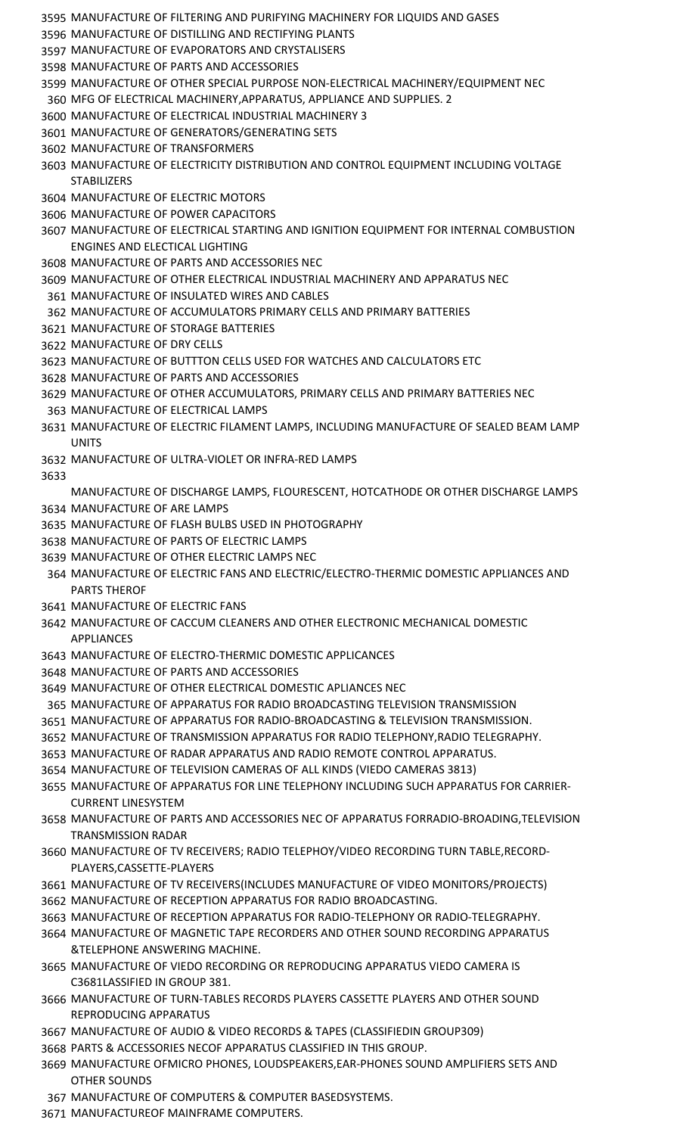- MANUFACTURE OF FILTERING AND PURIFYING MACHINERY FOR LIQUIDS AND GASES
- MANUFACTURE OF DISTILLING AND RECTIFYING PLANTS
- MANUFACTURE OF EVAPORATORS AND CRYSTALISERS
- MANUFACTURE OF PARTS AND ACCESSORIES
- MANUFACTURE OF OTHER SPECIAL PURPOSE NON-ELECTRICAL MACHINERY/EQUIPMENT NEC
- MFG OF ELECTRICAL MACHINERY,APPARATUS, APPLIANCE AND SUPPLIES. 2
- MANUFACTURE OF ELECTRICAL INDUSTRIAL MACHINERY 3
- MANUFACTURE OF GENERATORS/GENERATING SETS
- MANUFACTURE OF TRANSFORMERS
- MANUFACTURE OF ELECTRICITY DISTRIBUTION AND CONTROL EQUIPMENT INCLUDING VOLTAGE **STABILIZERS**
- MANUFACTURE OF ELECTRIC MOTORS
- MANUFACTURE OF POWER CAPACITORS
- MANUFACTURE OF ELECTRICAL STARTING AND IGNITION EQUIPMENT FOR INTERNAL COMBUSTION ENGINES AND ELECTICAL LIGHTING
- MANUFACTURE OF PARTS AND ACCESSORIES NEC
- MANUFACTURE OF OTHER ELECTRICAL INDUSTRIAL MACHINERY AND APPARATUS NEC
- MANUFACTURE OF INSULATED WIRES AND CABLES
- MANUFACTURE OF ACCUMULATORS PRIMARY CELLS AND PRIMARY BATTERIES
- MANUFACTURE OF STORAGE BATTERIES
- MANUFACTURE OF DRY CELLS
- MANUFACTURE OF BUTTTON CELLS USED FOR WATCHES AND CALCULATORS ETC
- MANUFACTURE OF PARTS AND ACCESSORIES
- MANUFACTURE OF OTHER ACCUMULATORS, PRIMARY CELLS AND PRIMARY BATTERIES NEC
- MANUFACTURE OF ELECTRICAL LAMPS
- MANUFACTURE OF ELECTRIC FILAMENT LAMPS, INCLUDING MANUFACTURE OF SEALED BEAM LAMP UNITS
- MANUFACTURE OF ULTRA-VIOLET OR INFRA-RED LAMPS
- 

MANUFACTURE OF DISCHARGE LAMPS, FLOURESCENT, HOTCATHODE OR OTHER DISCHARGE LAMPS

- MANUFACTURE OF ARE LAMPS
- MANUFACTURE OF FLASH BULBS USED IN PHOTOGRAPHY
- MANUFACTURE OF PARTS OF ELECTRIC LAMPS
- MANUFACTURE OF OTHER ELECTRIC LAMPS NEC
- MANUFACTURE OF ELECTRIC FANS AND ELECTRIC/ELECTRO-THERMIC DOMESTIC APPLIANCES AND PARTS THEROF
- MANUFACTURE OF ELECTRIC FANS
- MANUFACTURE OF CACCUM CLEANERS AND OTHER ELECTRONIC MECHANICAL DOMESTIC APPLIANCES
- MANUFACTURE OF ELECTRO-THERMIC DOMESTIC APPLICANCES
- MANUFACTURE OF PARTS AND ACCESSORIES
- MANUFACTURE OF OTHER ELECTRICAL DOMESTIC APLIANCES NEC
- MANUFACTURE OF APPARATUS FOR RADIO BROADCASTING TELEVISION TRANSMISSION
- MANUFACTURE OF APPARATUS FOR RADIO-BROADCASTING & TELEVISION TRANSMISSION.
- MANUFACTURE OF TRANSMISSION APPARATUS FOR RADIO TELEPHONY,RADIO TELEGRAPHY.
- MANUFACTURE OF RADAR APPARATUS AND RADIO REMOTE CONTROL APPARATUS.
- MANUFACTURE OF TELEVISION CAMERAS OF ALL KINDS (VIEDO CAMERAS 3813)
- MANUFACTURE OF APPARATUS FOR LINE TELEPHONY INCLUDING SUCH APPARATUS FOR CARRIER-CURRENT LINESYSTEM
- MANUFACTURE OF PARTS AND ACCESSORIES NEC OF APPARATUS FORRADIO-BROADING,TELEVISION TRANSMISSION RADAR
- MANUFACTURE OF TV RECEIVERS; RADIO TELEPHOY/VIDEO RECORDING TURN TABLE,RECORD-PLAYERS,CASSETTE-PLAYERS
- MANUFACTURE OF TV RECEIVERS(INCLUDES MANUFACTURE OF VIDEO MONITORS/PROJECTS)
- MANUFACTURE OF RECEPTION APPARATUS FOR RADIO BROADCASTING.
- MANUFACTURE OF RECEPTION APPARATUS FOR RADIO-TELEPHONY OR RADIO-TELEGRAPHY.
- MANUFACTURE OF MAGNETIC TAPE RECORDERS AND OTHER SOUND RECORDING APPARATUS &TELEPHONE ANSWERING MACHINE.
- MANUFACTURE OF VIEDO RECORDING OR REPRODUCING APPARATUS VIEDO CAMERA IS C3681LASSIFIED IN GROUP 381.
- MANUFACTURE OF TURN-TABLES RECORDS PLAYERS CASSETTE PLAYERS AND OTHER SOUND REPRODUCING APPARATUS
- MANUFACTURE OF AUDIO & VIDEO RECORDS & TAPES (CLASSIFIEDIN GROUP309)
- PARTS & ACCESSORIES NECOF APPARATUS CLASSIFIED IN THIS GROUP.
- MANUFACTURE OFMICRO PHONES, LOUDSPEAKERS,EAR-PHONES SOUND AMPLIFIERS SETS AND OTHER SOUNDS
- MANUFACTURE OF COMPUTERS & COMPUTER BASEDSYSTEMS.
- MANUFACTUREOF MAINFRAME COMPUTERS.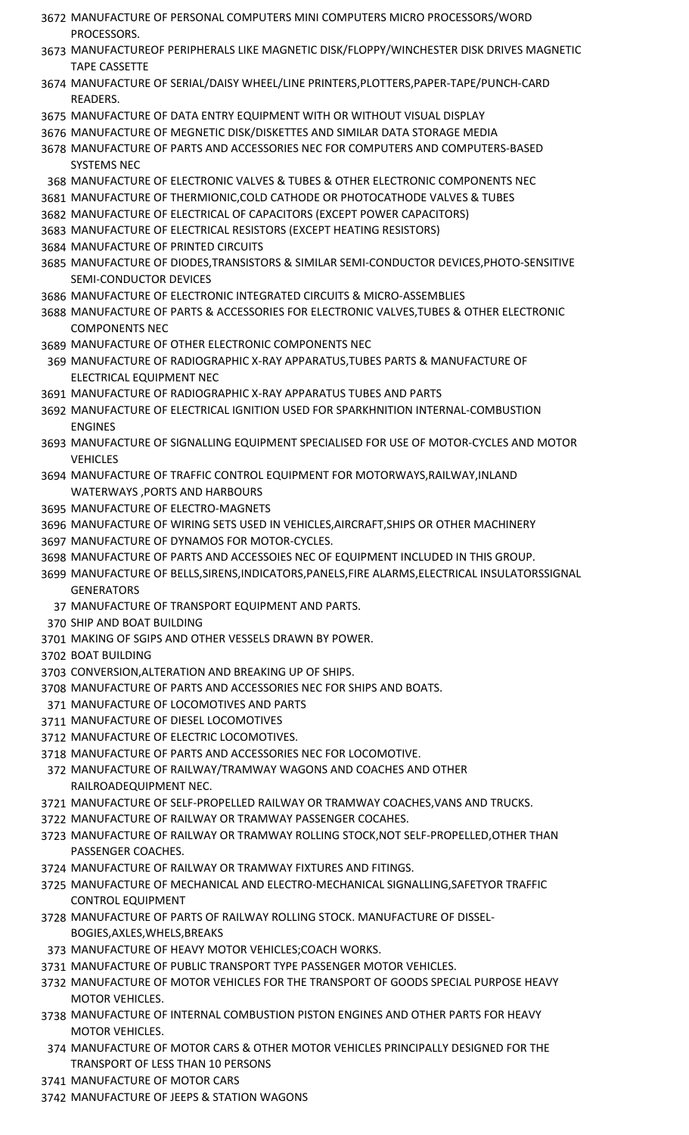- MANUFACTURE OF PERSONAL COMPUTERS MINI COMPUTERS MICRO PROCESSORS/WORD PROCESSORS.
- MANUFACTUREOF PERIPHERALS LIKE MAGNETIC DISK/FLOPPY/WINCHESTER DISK DRIVES MAGNETIC TAPE CASSETTE
- MANUFACTURE OF SERIAL/DAISY WHEEL/LINE PRINTERS,PLOTTERS,PAPER-TAPE/PUNCH-CARD READERS.
- MANUFACTURE OF DATA ENTRY EQUIPMENT WITH OR WITHOUT VISUAL DISPLAY
- MANUFACTURE OF MEGNETIC DISK/DISKETTES AND SIMILAR DATA STORAGE MEDIA
- MANUFACTURE OF PARTS AND ACCESSORIES NEC FOR COMPUTERS AND COMPUTERS-BASED SYSTEMS NEC
- MANUFACTURE OF ELECTRONIC VALVES & TUBES & OTHER ELECTRONIC COMPONENTS NEC
- MANUFACTURE OF THERMIONIC,COLD CATHODE OR PHOTOCATHODE VALVES & TUBES
- MANUFACTURE OF ELECTRICAL OF CAPACITORS (EXCEPT POWER CAPACITORS)
- MANUFACTURE OF ELECTRICAL RESISTORS (EXCEPT HEATING RESISTORS)
- MANUFACTURE OF PRINTED CIRCUITS
- MANUFACTURE OF DIODES,TRANSISTORS & SIMILAR SEMI-CONDUCTOR DEVICES,PHOTO-SENSITIVE SEMI-CONDUCTOR DEVICES
- MANUFACTURE OF ELECTRONIC INTEGRATED CIRCUITS & MICRO-ASSEMBLIES
- MANUFACTURE OF PARTS & ACCESSORIES FOR ELECTRONIC VALVES,TUBES & OTHER ELECTRONIC COMPONENTS NEC
- MANUFACTURE OF OTHER ELECTRONIC COMPONENTS NEC
- MANUFACTURE OF RADIOGRAPHIC X-RAY APPARATUS,TUBES PARTS & MANUFACTURE OF ELECTRICAL EQUIPMENT NEC
- MANUFACTURE OF RADIOGRAPHIC X-RAY APPARATUS TUBES AND PARTS
- MANUFACTURE OF ELECTRICAL IGNITION USED FOR SPARKHNITION INTERNAL-COMBUSTION ENGINES
- MANUFACTURE OF SIGNALLING EQUIPMENT SPECIALISED FOR USE OF MOTOR-CYCLES AND MOTOR **VEHICLES**
- MANUFACTURE OF TRAFFIC CONTROL EQUIPMENT FOR MOTORWAYS,RAILWAY,INLAND WATERWAYS ,PORTS AND HARBOURS
- MANUFACTURE OF ELECTRO-MAGNETS
- MANUFACTURE OF WIRING SETS USED IN VEHICLES,AIRCRAFT,SHIPS OR OTHER MACHINERY
- MANUFACTURE OF DYNAMOS FOR MOTOR-CYCLES.
- MANUFACTURE OF PARTS AND ACCESSOIES NEC OF EQUIPMENT INCLUDED IN THIS GROUP.
- MANUFACTURE OF BELLS,SIRENS,INDICATORS,PANELS,FIRE ALARMS,ELECTRICAL INSULATORSSIGNAL **GENERATORS** 
	- MANUFACTURE OF TRANSPORT EQUIPMENT AND PARTS.
- SHIP AND BOAT BUILDING
- MAKING OF SGIPS AND OTHER VESSELS DRAWN BY POWER.
- BOAT BUILDING
- CONVERSION,ALTERATION AND BREAKING UP OF SHIPS.
- MANUFACTURE OF PARTS AND ACCESSORIES NEC FOR SHIPS AND BOATS.
- MANUFACTURE OF LOCOMOTIVES AND PARTS
- MANUFACTURE OF DIESEL LOCOMOTIVES
- MANUFACTURE OF ELECTRIC LOCOMOTIVES.
- MANUFACTURE OF PARTS AND ACCESSORIES NEC FOR LOCOMOTIVE.
- MANUFACTURE OF RAILWAY/TRAMWAY WAGONS AND COACHES AND OTHER RAILROADEQUIPMENT NEC.
- MANUFACTURE OF SELF-PROPELLED RAILWAY OR TRAMWAY COACHES,VANS AND TRUCKS.
- MANUFACTURE OF RAILWAY OR TRAMWAY PASSENGER COCAHES.
- MANUFACTURE OF RAILWAY OR TRAMWAY ROLLING STOCK,NOT SELF-PROPELLED,OTHER THAN PASSENGER COACHES.
- MANUFACTURE OF RAILWAY OR TRAMWAY FIXTURES AND FITINGS.
- MANUFACTURE OF MECHANICAL AND ELECTRO-MECHANICAL SIGNALLING,SAFETYOR TRAFFIC CONTROL EQUIPMENT
- MANUFACTURE OF PARTS OF RAILWAY ROLLING STOCK. MANUFACTURE OF DISSEL-BOGIES,AXLES,WHELS,BREAKS
- MANUFACTURE OF HEAVY MOTOR VEHICLES;COACH WORKS.
- MANUFACTURE OF PUBLIC TRANSPORT TYPE PASSENGER MOTOR VEHICLES.
- MANUFACTURE OF MOTOR VEHICLES FOR THE TRANSPORT OF GOODS SPECIAL PURPOSE HEAVY MOTOR VEHICLES.
- MANUFACTURE OF INTERNAL COMBUSTION PISTON ENGINES AND OTHER PARTS FOR HEAVY MOTOR VEHICLES.
- MANUFACTURE OF MOTOR CARS & OTHER MOTOR VEHICLES PRINCIPALLY DESIGNED FOR THE TRANSPORT OF LESS THAN 10 PERSONS
- MANUFACTURE OF MOTOR CARS
- MANUFACTURE OF JEEPS & STATION WAGONS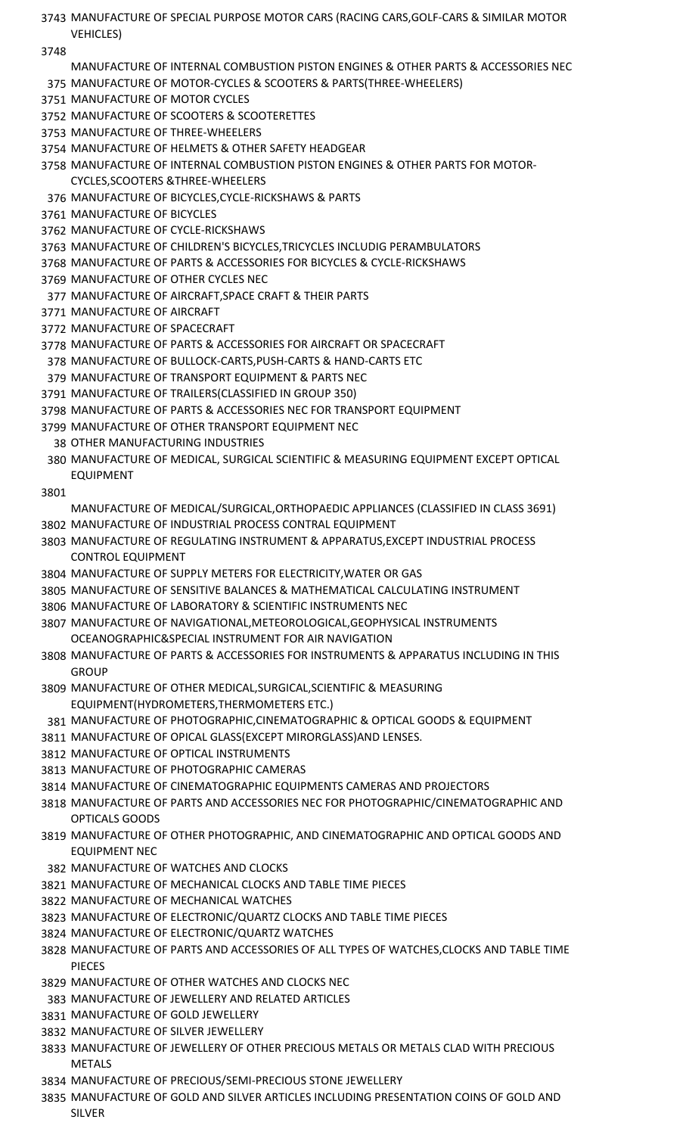- MANUFACTURE OF SPECIAL PURPOSE MOTOR CARS (RACING CARS,GOLF-CARS & SIMILAR MOTOR VEHICLES)
- 
- MANUFACTURE OF INTERNAL COMBUSTION PISTON ENGINES & OTHER PARTS & ACCESSORIES NEC MANUFACTURE OF MOTOR-CYCLES & SCOOTERS & PARTS(THREE-WHEELERS)
- MANUFACTURE OF MOTOR CYCLES
- MANUFACTURE OF SCOOTERS & SCOOTERETTES
- MANUFACTURE OF THREE-WHEELERS
- MANUFACTURE OF HELMETS & OTHER SAFETY HEADGEAR
- MANUFACTURE OF INTERNAL COMBUSTION PISTON ENGINES & OTHER PARTS FOR MOTOR-CYCLES,SCOOTERS &THREE-WHEELERS
- MANUFACTURE OF BICYCLES,CYCLE-RICKSHAWS & PARTS
- MANUFACTURE OF BICYCLES
- MANUFACTURE OF CYCLE-RICKSHAWS
- MANUFACTURE OF CHILDREN'S BICYCLES,TRICYCLES INCLUDIG PERAMBULATORS
- MANUFACTURE OF PARTS & ACCESSORIES FOR BICYCLES & CYCLE-RICKSHAWS
- MANUFACTURE OF OTHER CYCLES NEC
- MANUFACTURE OF AIRCRAFT,SPACE CRAFT & THEIR PARTS
- MANUFACTURE OF AIRCRAFT
- MANUFACTURE OF SPACECRAFT
- MANUFACTURE OF PARTS & ACCESSORIES FOR AIRCRAFT OR SPACECRAFT
- MANUFACTURE OF BULLOCK-CARTS,PUSH-CARTS & HAND-CARTS ETC
- MANUFACTURE OF TRANSPORT EQUIPMENT & PARTS NEC
- MANUFACTURE OF TRAILERS(CLASSIFIED IN GROUP 350)
- MANUFACTURE OF PARTS & ACCESSORIES NEC FOR TRANSPORT EQUIPMENT
- MANUFACTURE OF OTHER TRANSPORT EQUIPMENT NEC
- OTHER MANUFACTURING INDUSTRIES
- MANUFACTURE OF MEDICAL, SURGICAL SCIENTIFIC & MEASURING EQUIPMENT EXCEPT OPTICAL EQUIPMENT
- 
- MANUFACTURE OF MEDICAL/SURGICAL,ORTHOPAEDIC APPLIANCES (CLASSIFIED IN CLASS 3691) MANUFACTURE OF INDUSTRIAL PROCESS CONTRAL EQUIPMENT
- MANUFACTURE OF REGULATING INSTRUMENT & APPARATUS,EXCEPT INDUSTRIAL PROCESS CONTROL EQUIPMENT
- MANUFACTURE OF SUPPLY METERS FOR ELECTRICITY,WATER OR GAS
- MANUFACTURE OF SENSITIVE BALANCES & MATHEMATICAL CALCULATING INSTRUMENT
- MANUFACTURE OF LABORATORY & SCIENTIFIC INSTRUMENTS NEC
- MANUFACTURE OF NAVIGATIONAL,METEOROLOGICAL,GEOPHYSICAL INSTRUMENTS OCEANOGRAPHIC&SPECIAL INSTRUMENT FOR AIR NAVIGATION
- MANUFACTURE OF PARTS & ACCESSORIES FOR INSTRUMENTS & APPARATUS INCLUDING IN THIS **GROUP**
- MANUFACTURE OF OTHER MEDICAL,SURGICAL,SCIENTIFIC & MEASURING EQUIPMENT(HYDROMETERS,THERMOMETERS ETC.)
- MANUFACTURE OF PHOTOGRAPHIC,CINEMATOGRAPHIC & OPTICAL GOODS & EQUIPMENT
- MANUFACTURE OF OPICAL GLASS(EXCEPT MIRORGLASS)AND LENSES.
- MANUFACTURE OF OPTICAL INSTRUMENTS
- MANUFACTURE OF PHOTOGRAPHIC CAMERAS
- MANUFACTURE OF CINEMATOGRAPHIC EQUIPMENTS CAMERAS AND PROJECTORS
- MANUFACTURE OF PARTS AND ACCESSORIES NEC FOR PHOTOGRAPHIC/CINEMATOGRAPHIC AND OPTICALS GOODS
- MANUFACTURE OF OTHER PHOTOGRAPHIC, AND CINEMATOGRAPHIC AND OPTICAL GOODS AND EQUIPMENT NEC
- MANUFACTURE OF WATCHES AND CLOCKS
- MANUFACTURE OF MECHANICAL CLOCKS AND TABLE TIME PIECES
- MANUFACTURE OF MECHANICAL WATCHES
- MANUFACTURE OF ELECTRONIC/QUARTZ CLOCKS AND TABLE TIME PIECES
- MANUFACTURE OF ELECTRONIC/QUARTZ WATCHES
- MANUFACTURE OF PARTS AND ACCESSORIES OF ALL TYPES OF WATCHES,CLOCKS AND TABLE TIME PIECES
- MANUFACTURE OF OTHER WATCHES AND CLOCKS NEC
- MANUFACTURE OF JEWELLERY AND RELATED ARTICLES
- MANUFACTURE OF GOLD JEWELLERY
- MANUFACTURE OF SILVER JEWELLERY
- MANUFACTURE OF JEWELLERY OF OTHER PRECIOUS METALS OR METALS CLAD WITH PRECIOUS **MFTALS**
- MANUFACTURE OF PRECIOUS/SEMI-PRECIOUS STONE JEWELLERY
- MANUFACTURE OF GOLD AND SILVER ARTICLES INCLUDING PRESENTATION COINS OF GOLD AND SILVER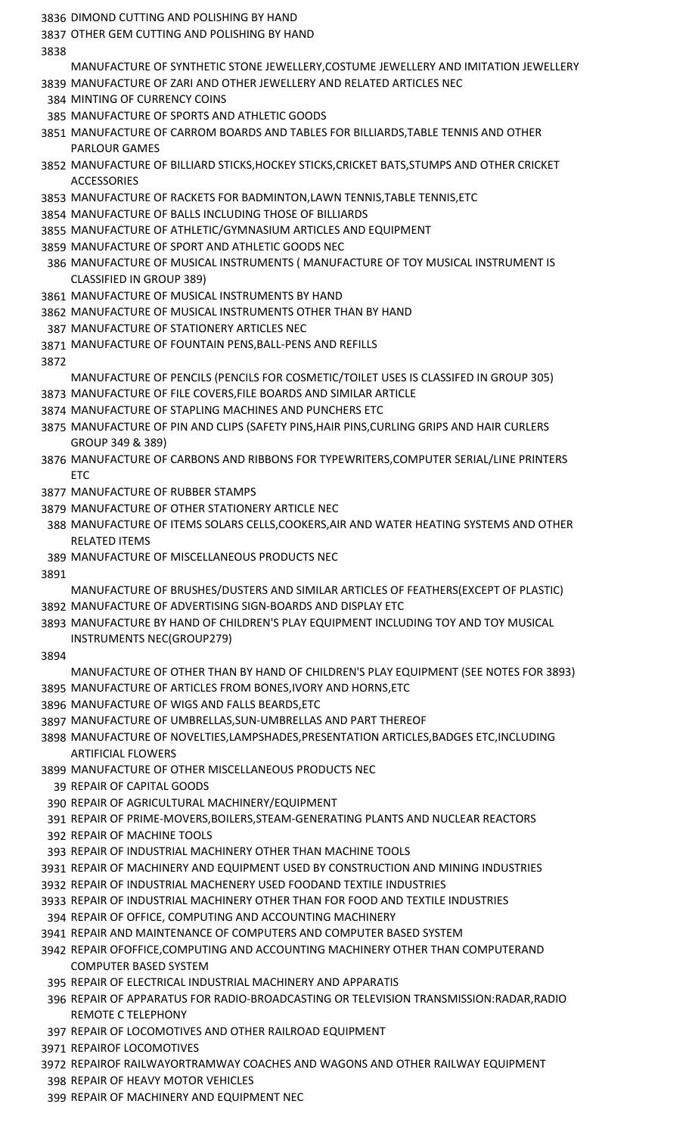- DIMOND CUTTING AND POLISHING BY HAND
- OTHER GEM CUTTING AND POLISHING BY HAND
- 
- MANUFACTURE OF SYNTHETIC STONE JEWELLERY,COSTUME JEWELLERY AND IMITATION JEWELLERY MANUFACTURE OF ZARI AND OTHER JEWELLERY AND RELATED ARTICLES NEC
- MINTING OF CURRENCY COINS
- MANUFACTURE OF SPORTS AND ATHLETIC GOODS
- MANUFACTURE OF CARROM BOARDS AND TABLES FOR BILLIARDS,TABLE TENNIS AND OTHER PARLOUR GAMES
- MANUFACTURE OF BILLIARD STICKS,HOCKEY STICKS,CRICKET BATS,STUMPS AND OTHER CRICKET ACCESSORIES
- MANUFACTURE OF RACKETS FOR BADMINTON,LAWN TENNIS,TABLE TENNIS,ETC
- MANUFACTURE OF BALLS INCLUDING THOSE OF BILLIARDS
- MANUFACTURE OF ATHLETIC/GYMNASIUM ARTICLES AND EQUIPMENT
- MANUFACTURE OF SPORT AND ATHLETIC GOODS NEC
- MANUFACTURE OF MUSICAL INSTRUMENTS ( MANUFACTURE OF TOY MUSICAL INSTRUMENT IS CLASSIFIED IN GROUP 389)
- MANUFACTURE OF MUSICAL INSTRUMENTS BY HAND
- MANUFACTURE OF MUSICAL INSTRUMENTS OTHER THAN BY HAND
- MANUFACTURE OF STATIONERY ARTICLES NEC
- MANUFACTURE OF FOUNTAIN PENS,BALL-PENS AND REFILLS
- - MANUFACTURE OF PENCILS (PENCILS FOR COSMETIC/TOILET USES IS CLASSIFED IN GROUP 305)
- MANUFACTURE OF FILE COVERS,FILE BOARDS AND SIMILAR ARTICLE
- MANUFACTURE OF STAPLING MACHINES AND PUNCHERS ETC
- MANUFACTURE OF PIN AND CLIPS (SAFETY PINS,HAIR PINS,CURLING GRIPS AND HAIR CURLERS GROUP 349 & 389)
- MANUFACTURE OF CARBONS AND RIBBONS FOR TYPEWRITERS,COMPUTER SERIAL/LINE PRINTERS **FTC**
- MANUFACTURE OF RUBBER STAMPS
- MANUFACTURE OF OTHER STATIONERY ARTICLE NEC
- MANUFACTURE OF ITEMS SOLARS CELLS,COOKERS,AIR AND WATER HEATING SYSTEMS AND OTHER RELATED ITEMS
- MANUFACTURE OF MISCELLANEOUS PRODUCTS NEC
- 
- MANUFACTURE OF BRUSHES/DUSTERS AND SIMILAR ARTICLES OF FEATHERS(EXCEPT OF PLASTIC) MANUFACTURE OF ADVERTISING SIGN-BOARDS AND DISPLAY ETC
- MANUFACTURE BY HAND OF CHILDREN'S PLAY EQUIPMENT INCLUDING TOY AND TOY MUSICAL INSTRUMENTS NEC(GROUP279)
- 
- MANUFACTURE OF OTHER THAN BY HAND OF CHILDREN'S PLAY EQUIPMENT (SEE NOTES FOR 3893) MANUFACTURE OF ARTICLES FROM BONES,IVORY AND HORNS,ETC
- MANUFACTURE OF WIGS AND FALLS BEARDS,ETC
- MANUFACTURE OF UMBRELLAS,SUN-UMBRELLAS AND PART THEREOF
- MANUFACTURE OF NOVELTIES,LAMPSHADES,PRESENTATION ARTICLES,BADGES ETC,INCLUDING ARTIFICIAL FLOWERS
- MANUFACTURE OF OTHER MISCELLANEOUS PRODUCTS NEC
	- REPAIR OF CAPITAL GOODS
- REPAIR OF AGRICULTURAL MACHINERY/EQUIPMENT
- REPAIR OF PRIME-MOVERS,BOILERS,STEAM-GENERATING PLANTS AND NUCLEAR REACTORS
- REPAIR OF MACHINE TOOLS
- REPAIR OF INDUSTRIAL MACHINERY OTHER THAN MACHINE TOOLS
- REPAIR OF MACHINERY AND EQUIPMENT USED BY CONSTRUCTION AND MINING INDUSTRIES
- REPAIR OF INDUSTRIAL MACHENERY USED FOODAND TEXTILE INDUSTRIES
- REPAIR OF INDUSTRIAL MACHINERY OTHER THAN FOR FOOD AND TEXTILE INDUSTRIES
- REPAIR OF OFFICE, COMPUTING AND ACCOUNTING MACHINERY
- REPAIR AND MAINTENANCE OF COMPUTERS AND COMPUTER BASED SYSTEM
- REPAIR OFOFFICE,COMPUTING AND ACCOUNTING MACHINERY OTHER THAN COMPUTERAND COMPUTER BASED SYSTEM
- REPAIR OF ELECTRICAL INDUSTRIAL MACHINERY AND APPARATIS
- REPAIR OF APPARATUS FOR RADIO-BROADCASTING OR TELEVISION TRANSMISSION:RADAR,RADIO REMOTE C TELEPHONY
- REPAIR OF LOCOMOTIVES AND OTHER RAILROAD EQUIPMENT
- REPAIROF LOCOMOTIVES
- REPAIROF RAILWAYORTRAMWAY COACHES AND WAGONS AND OTHER RAILWAY EQUIPMENT
- REPAIR OF HEAVY MOTOR VEHICLES
- REPAIR OF MACHINERY AND EQUIPMENT NEC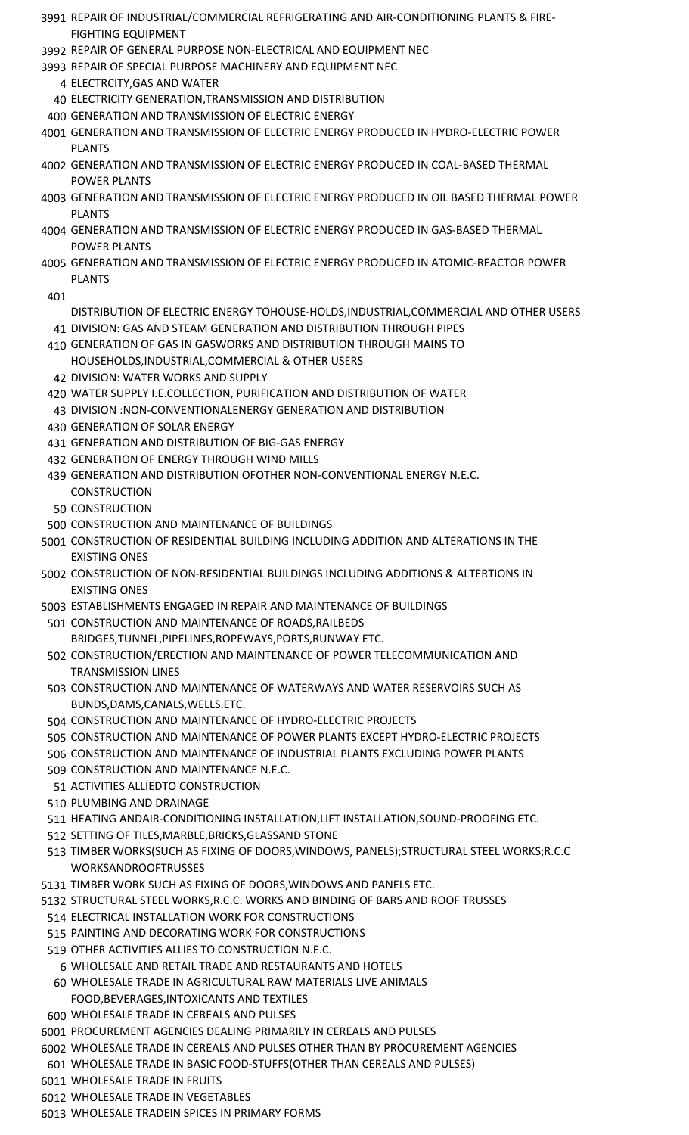- REPAIR OF INDUSTRIAL/COMMERCIAL REFRIGERATING AND AIR-CONDITIONING PLANTS & FIRE-FIGHTING EQUIPMENT
- REPAIR OF GENERAL PURPOSE NON-ELECTRICAL AND EQUIPMENT NEC
- REPAIR OF SPECIAL PURPOSE MACHINERY AND EQUIPMENT NEC
	- ELECTRCITY,GAS AND WATER
	- ELECTRICITY GENERATION,TRANSMISSION AND DISTRIBUTION
- GENERATION AND TRANSMISSION OF ELECTRIC ENERGY
- GENERATION AND TRANSMISSION OF ELECTRIC ENERGY PRODUCED IN HYDRO-ELECTRIC POWER PLANTS
- GENERATION AND TRANSMISSION OF ELECTRIC ENERGY PRODUCED IN COAL-BASED THERMAL POWER PLANTS
- GENERATION AND TRANSMISSION OF ELECTRIC ENERGY PRODUCED IN OIL BASED THERMAL POWER PLANTS
- GENERATION AND TRANSMISSION OF ELECTRIC ENERGY PRODUCED IN GAS-BASED THERMAL POWER PLANTS
- GENERATION AND TRANSMISSION OF ELECTRIC ENERGY PRODUCED IN ATOMIC-REACTOR POWER PLANTS

- DISTRIBUTION OF ELECTRIC ENERGY TOHOUSE-HOLDS,INDUSTRIAL,COMMERCIAL AND OTHER USERS
- DIVISION: GAS AND STEAM GENERATION AND DISTRIBUTION THROUGH PIPES GENERATION OF GAS IN GASWORKS AND DISTRIBUTION THROUGH MAINS TO HOUSEHOLDS,INDUSTRIAL,COMMERCIAL & OTHER USERS
- DIVISION: WATER WORKS AND SUPPLY
- WATER SUPPLY I.E.COLLECTION, PURIFICATION AND DISTRIBUTION OF WATER
- DIVISION :NON-CONVENTIONALENERGY GENERATION AND DISTRIBUTION
- GENERATION OF SOLAR ENERGY
- GENERATION AND DISTRIBUTION OF BIG-GAS ENERGY
- GENERATION OF ENERGY THROUGH WIND MILLS
- GENERATION AND DISTRIBUTION OFOTHER NON-CONVENTIONAL ENERGY N.E.C. CONSTRUCTION
- CONSTRUCTION
- CONSTRUCTION AND MAINTENANCE OF BUILDINGS
- CONSTRUCTION OF RESIDENTIAL BUILDING INCLUDING ADDITION AND ALTERATIONS IN THE EXISTING ONES
- CONSTRUCTION OF NON-RESIDENTIAL BUILDINGS INCLUDING ADDITIONS & ALTERTIONS IN EXISTING ONES
- ESTABLISHMENTS ENGAGED IN REPAIR AND MAINTENANCE OF BUILDINGS
- CONSTRUCTION AND MAINTENANCE OF ROADS,RAILBEDS BRIDGES,TUNNEL,PIPELINES,ROPEWAYS,PORTS,RUNWAY ETC.
- CONSTRUCTION/ERECTION AND MAINTENANCE OF POWER TELECOMMUNICATION AND TRANSMISSION LINES
- CONSTRUCTION AND MAINTENANCE OF WATERWAYS AND WATER RESERVOIRS SUCH AS BUNDS,DAMS,CANALS,WELLS.ETC.
- CONSTRUCTION AND MAINTENANCE OF HYDRO-ELECTRIC PROJECTS
- CONSTRUCTION AND MAINTENANCE OF POWER PLANTS EXCEPT HYDRO-ELECTRIC PROJECTS
- CONSTRUCTION AND MAINTENANCE OF INDUSTRIAL PLANTS EXCLUDING POWER PLANTS
- CONSTRUCTION AND MAINTENANCE N.E.C.
- ACTIVITIES ALLIEDTO CONSTRUCTION
- PLUMBING AND DRAINAGE
- HEATING ANDAIR-CONDITIONING INSTALLATION,LIFT INSTALLATION,SOUND-PROOFING ETC.
- SETTING OF TILES,MARBLE,BRICKS,GLASSAND STONE
- TIMBER WORKS(SUCH AS FIXING OF DOORS,WINDOWS, PANELS);STRUCTURAL STEEL WORKS;R.C.C WORKSANDROOFTRUSSES
- TIMBER WORK SUCH AS FIXING OF DOORS,WINDOWS AND PANELS ETC.
- STRUCTURAL STEEL WORKS,R.C.C. WORKS AND BINDING OF BARS AND ROOF TRUSSES
- ELECTRICAL INSTALLATION WORK FOR CONSTRUCTIONS
- PAINTING AND DECORATING WORK FOR CONSTRUCTIONS
- OTHER ACTIVITIES ALLIES TO CONSTRUCTION N.E.C.
- WHOLESALE AND RETAIL TRADE AND RESTAURANTS AND HOTELS
- WHOLESALE TRADE IN AGRICULTURAL RAW MATERIALS LIVE ANIMALS FOOD,BEVERAGES,INTOXICANTS AND TEXTILES
- WHOLESALE TRADE IN CEREALS AND PULSES
- PROCUREMENT AGENCIES DEALING PRIMARILY IN CEREALS AND PULSES
- WHOLESALE TRADE IN CEREALS AND PULSES OTHER THAN BY PROCUREMENT AGENCIES
- WHOLESALE TRADE IN BASIC FOOD-STUFFS(OTHER THAN CEREALS AND PULSES)
- WHOLESALE TRADE IN FRUITS
- WHOLESALE TRADE IN VEGETABLES
- WHOLESALE TRADEIN SPICES IN PRIMARY FORMS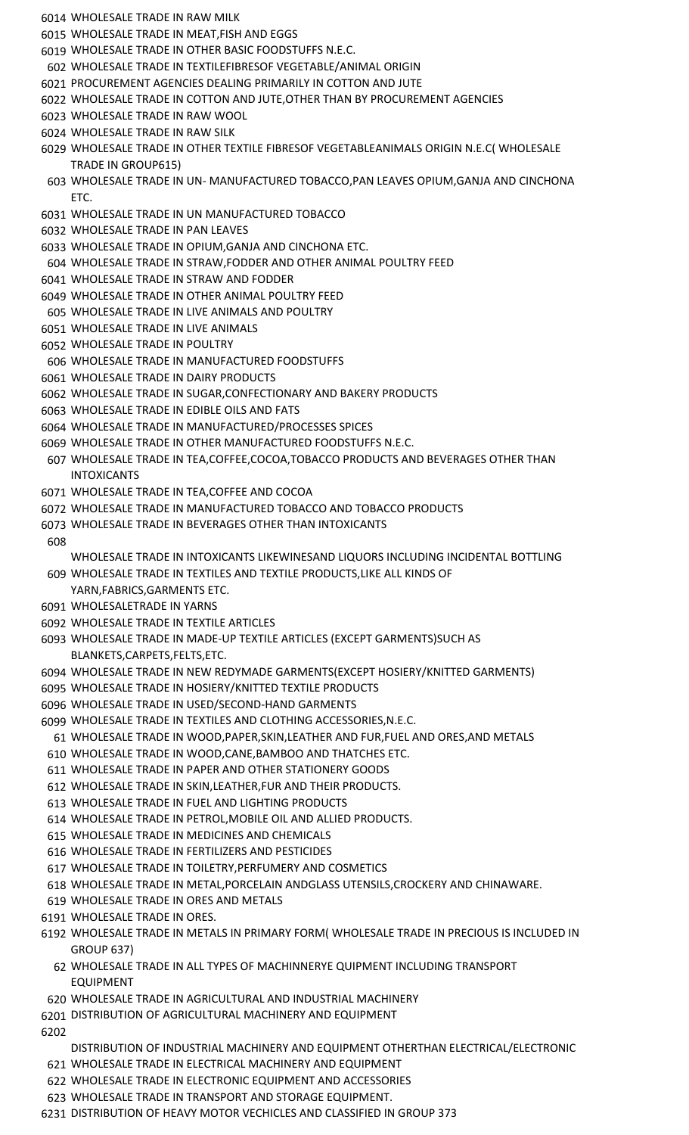- WHOLESALE TRADE IN RAW MILK
- WHOLESALE TRADE IN MEAT,FISH AND EGGS
- WHOLESALE TRADE IN OTHER BASIC FOODSTUFFS N.E.C.
- WHOLESALE TRADE IN TEXTILEFIBRESOF VEGETABLE/ANIMAL ORIGIN
- PROCUREMENT AGENCIES DEALING PRIMARILY IN COTTON AND JUTE
- WHOLESALE TRADE IN COTTON AND JUTE,OTHER THAN BY PROCUREMENT AGENCIES
- WHOLESALE TRADE IN RAW WOOL
- WHOLESALE TRADE IN RAW SILK

 WHOLESALE TRADE IN OTHER TEXTILE FIBRESOF VEGETABLEANIMALS ORIGIN N.E.C( WHOLESALE TRADE IN GROUP615)

- WHOLESALE TRADE IN UN- MANUFACTURED TOBACCO,PAN LEAVES OPIUM,GANJA AND CINCHONA ETC.
- WHOLESALE TRADE IN UN MANUFACTURED TOBACCO
- WHOLESALE TRADE IN PAN LEAVES

## WHOLESALE TRADE IN OPIUM,GANJA AND CINCHONA ETC.

- WHOLESALE TRADE IN STRAW,FODDER AND OTHER ANIMAL POULTRY FEED
- WHOLESALE TRADE IN STRAW AND FODDER
- WHOLESALE TRADE IN OTHER ANIMAL POULTRY FEED
- WHOLESALE TRADE IN LIVE ANIMALS AND POULTRY
- WHOLESALE TRADE IN LIVE ANIMALS
- WHOLESALE TRADE IN POULTRY
- WHOLESALE TRADE IN MANUFACTURED FOODSTUFFS
- WHOLESALE TRADE IN DAIRY PRODUCTS
- WHOLESALE TRADE IN SUGAR,CONFECTIONARY AND BAKERY PRODUCTS
- WHOLESALE TRADE IN EDIBLE OILS AND FATS
- WHOLESALE TRADE IN MANUFACTURED/PROCESSES SPICES
- WHOLESALE TRADE IN OTHER MANUFACTURED FOODSTUFFS N.E.C.
- WHOLESALE TRADE IN TEA,COFFEE,COCOA,TOBACCO PRODUCTS AND BEVERAGES OTHER THAN INTOXICANTS
- WHOLESALE TRADE IN TEA,COFFEE AND COCOA
- WHOLESALE TRADE IN MANUFACTURED TOBACCO AND TOBACCO PRODUCTS
- WHOLESALE TRADE IN BEVERAGES OTHER THAN INTOXICANTS
	- WHOLESALE TRADE IN INTOXICANTS LIKEWINESAND LIQUORS INCLUDING INCIDENTAL BOTTLING
- WHOLESALE TRADE IN TEXTILES AND TEXTILE PRODUCTS,LIKE ALL KINDS OF YARN,FABRICS,GARMENTS ETC.
- WHOLESALETRADE IN YARNS
- WHOLESALE TRADE IN TEXTILE ARTICLES
- WHOLESALE TRADE IN MADE-UP TEXTILE ARTICLES (EXCEPT GARMENTS)SUCH AS BLANKETS,CARPETS,FELTS,ETC.
- WHOLESALE TRADE IN NEW REDYMADE GARMENTS(EXCEPT HOSIERY/KNITTED GARMENTS)
- WHOLESALE TRADE IN HOSIERY/KNITTED TEXTILE PRODUCTS
- WHOLESALE TRADE IN USED/SECOND-HAND GARMENTS
- WHOLESALE TRADE IN TEXTILES AND CLOTHING ACCESSORIES,N.E.C.
- WHOLESALE TRADE IN WOOD,PAPER,SKIN,LEATHER AND FUR,FUEL AND ORES,AND METALS
- WHOLESALE TRADE IN WOOD,CANE,BAMBOO AND THATCHES ETC.
- WHOLESALE TRADE IN PAPER AND OTHER STATIONERY GOODS
- WHOLESALE TRADE IN SKIN,LEATHER,FUR AND THEIR PRODUCTS.
- WHOLESALE TRADE IN FUEL AND LIGHTING PRODUCTS
- WHOLESALE TRADE IN PETROL,MOBILE OIL AND ALLIED PRODUCTS.
- WHOLESALE TRADE IN MEDICINES AND CHEMICALS
- WHOLESALE TRADE IN FERTILIZERS AND PESTICIDES
- WHOLESALE TRADE IN TOILETRY,PERFUMERY AND COSMETICS
- WHOLESALE TRADE IN METAL,PORCELAIN ANDGLASS UTENSILS,CROCKERY AND CHINAWARE.
- WHOLESALE TRADE IN ORES AND METALS
- WHOLESALE TRADE IN ORES.
- WHOLESALE TRADE IN METALS IN PRIMARY FORM( WHOLESALE TRADE IN PRECIOUS IS INCLUDED IN GROUP 637)
	- WHOLESALE TRADE IN ALL TYPES OF MACHINNERYE QUIPMENT INCLUDING TRANSPORT EQUIPMENT
- WHOLESALE TRADE IN AGRICULTURAL AND INDUSTRIAL MACHINERY
- DISTRIBUTION OF AGRICULTURAL MACHINERY AND EQUIPMENT

- DISTRIBUTION OF INDUSTRIAL MACHINERY AND EQUIPMENT OTHERTHAN ELECTRICAL/ELECTRONIC
- WHOLESALE TRADE IN ELECTRICAL MACHINERY AND EQUIPMENT
- WHOLESALE TRADE IN ELECTRONIC EQUIPMENT AND ACCESSORIES
- WHOLESALE TRADE IN TRANSPORT AND STORAGE EQUIPMENT.
- DISTRIBUTION OF HEAVY MOTOR VECHICLES AND CLASSIFIED IN GROUP 373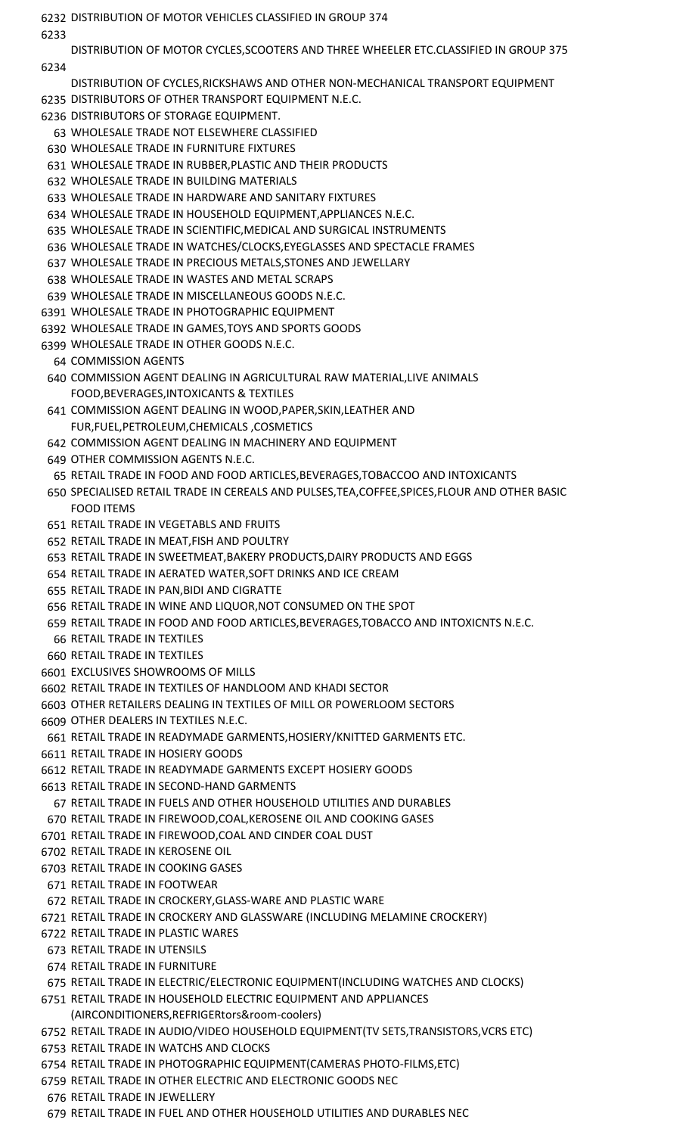DISTRIBUTION OF MOTOR VEHICLES CLASSIFIED IN GROUP 374 DISTRIBUTION OF MOTOR CYCLES,SCOOTERS AND THREE WHEELER ETC.CLASSIFIED IN GROUP 375 DISTRIBUTION OF CYCLES,RICKSHAWS AND OTHER NON-MECHANICAL TRANSPORT EQUIPMENT DISTRIBUTORS OF OTHER TRANSPORT EQUIPMENT N.E.C. DISTRIBUTORS OF STORAGE EQUIPMENT. WHOLESALE TRADE NOT ELSEWHERE CLASSIFIED WHOLESALE TRADE IN FURNITURE FIXTURES WHOLESALE TRADE IN RUBBER,PLASTIC AND THEIR PRODUCTS WHOLESALE TRADE IN BUILDING MATERIALS WHOLESALE TRADE IN HARDWARE AND SANITARY FIXTURES WHOLESALE TRADE IN HOUSEHOLD EQUIPMENT,APPLIANCES N.E.C. WHOLESALE TRADE IN SCIENTIFIC,MEDICAL AND SURGICAL INSTRUMENTS WHOLESALE TRADE IN WATCHES/CLOCKS,EYEGLASSES AND SPECTACLE FRAMES WHOLESALE TRADE IN PRECIOUS METALS,STONES AND JEWELLARY WHOLESALE TRADE IN WASTES AND METAL SCRAPS WHOLESALE TRADE IN MISCELLANEOUS GOODS N.E.C. WHOLESALE TRADE IN PHOTOGRAPHIC EQUIPMENT WHOLESALE TRADE IN GAMES,TOYS AND SPORTS GOODS WHOLESALE TRADE IN OTHER GOODS N.E.C. COMMISSION AGENTS COMMISSION AGENT DEALING IN AGRICULTURAL RAW MATERIAL,LIVE ANIMALS FOOD,BEVERAGES,INTOXICANTS & TEXTILES COMMISSION AGENT DEALING IN WOOD,PAPER,SKIN,LEATHER AND FUR,FUEL,PETROLEUM,CHEMICALS ,COSMETICS COMMISSION AGENT DEALING IN MACHINERY AND EQUIPMENT OTHER COMMISSION AGENTS N.E.C. RETAIL TRADE IN FOOD AND FOOD ARTICLES,BEVERAGES,TOBACCOO AND INTOXICANTS SPECIALISED RETAIL TRADE IN CEREALS AND PULSES,TEA,COFFEE,SPICES,FLOUR AND OTHER BASIC FOOD ITEMS RETAIL TRADE IN VEGETABLS AND FRUITS RETAIL TRADE IN MEAT,FISH AND POULTRY RETAIL TRADE IN SWEETMEAT,BAKERY PRODUCTS,DAIRY PRODUCTS AND EGGS RETAIL TRADE IN AERATED WATER,SOFT DRINKS AND ICE CREAM RETAIL TRADE IN PAN,BIDI AND CIGRATTE RETAIL TRADE IN WINE AND LIQUOR,NOT CONSUMED ON THE SPOT RETAIL TRADE IN FOOD AND FOOD ARTICLES,BEVERAGES,TOBACCO AND INTOXICNTS N.E.C. RETAIL TRADE IN TEXTILES RETAIL TRADE IN TEXTILES EXCLUSIVES SHOWROOMS OF MILLS RETAIL TRADE IN TEXTILES OF HANDLOOM AND KHADI SECTOR OTHER RETAILERS DEALING IN TEXTILES OF MILL OR POWERLOOM SECTORS OTHER DEALERS IN TEXTILES N.E.C. RETAIL TRADE IN READYMADE GARMENTS,HOSIERY/KNITTED GARMENTS ETC. RETAIL TRADE IN HOSIERY GOODS RETAIL TRADE IN READYMADE GARMENTS EXCEPT HOSIERY GOODS RETAIL TRADE IN SECOND-HAND GARMENTS RETAIL TRADE IN FUELS AND OTHER HOUSEHOLD UTILITIES AND DURABLES RETAIL TRADE IN FIREWOOD,COAL,KEROSENE OIL AND COOKING GASES RETAIL TRADE IN FIREWOOD,COAL AND CINDER COAL DUST RETAIL TRADE IN KEROSENE OIL RETAIL TRADE IN COOKING GASES RETAIL TRADE IN FOOTWEAR RETAIL TRADE IN CROCKERY,GLASS-WARE AND PLASTIC WARE RETAIL TRADE IN CROCKERY AND GLASSWARE (INCLUDING MELAMINE CROCKERY) RETAIL TRADE IN PLASTIC WARES RETAIL TRADE IN UTENSILS RETAIL TRADE IN FURNITURE RETAIL TRADE IN ELECTRIC/ELECTRONIC EQUIPMENT(INCLUDING WATCHES AND CLOCKS) RETAIL TRADE IN HOUSEHOLD ELECTRIC EQUIPMENT AND APPLIANCES (AIRCONDITIONERS,REFRIGERtors&room-coolers) RETAIL TRADE IN AUDIO/VIDEO HOUSEHOLD EQUIPMENT(TV SETS,TRANSISTORS,VCRS ETC) RETAIL TRADE IN WATCHS AND CLOCKS RETAIL TRADE IN PHOTOGRAPHIC EQUIPMENT(CAMERAS PHOTO-FILMS,ETC)

RETAIL TRADE IN OTHER ELECTRIC AND ELECTRONIC GOODS NEC

RETAIL TRADE IN JEWELLERY

RETAIL TRADE IN FUEL AND OTHER HOUSEHOLD UTILITIES AND DURABLES NEC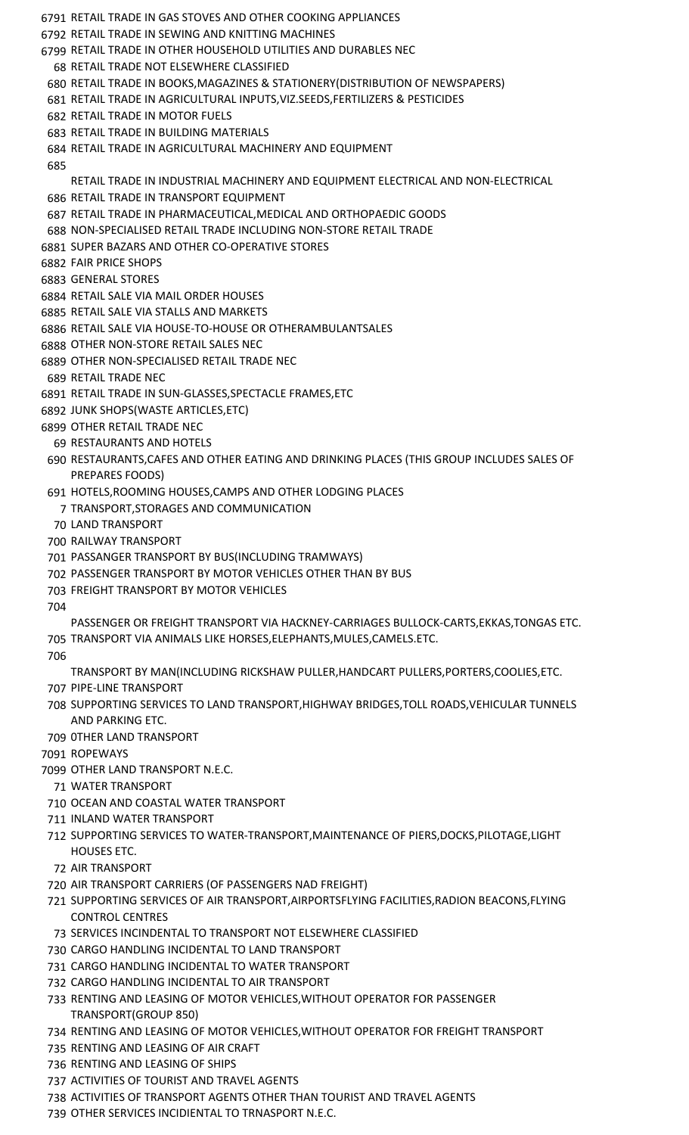- RETAIL TRADE IN GAS STOVES AND OTHER COOKING APPLIANCES RETAIL TRADE IN SEWING AND KNITTING MACHINES RETAIL TRADE IN OTHER HOUSEHOLD UTILITIES AND DURABLES NEC RETAIL TRADE NOT ELSEWHERE CLASSIFIED RETAIL TRADE IN BOOKS,MAGAZINES & STATIONERY(DISTRIBUTION OF NEWSPAPERS) RETAIL TRADE IN AGRICULTURAL INPUTS,VIZ.SEEDS,FERTILIZERS & PESTICIDES RETAIL TRADE IN MOTOR FUELS RETAIL TRADE IN BUILDING MATERIALS RETAIL TRADE IN AGRICULTURAL MACHINERY AND EQUIPMENT RETAIL TRADE IN INDUSTRIAL MACHINERY AND EQUIPMENT ELECTRICAL AND NON-ELECTRICAL RETAIL TRADE IN TRANSPORT EQUIPMENT RETAIL TRADE IN PHARMACEUTICAL,MEDICAL AND ORTHOPAEDIC GOODS NON-SPECIALISED RETAIL TRADE INCLUDING NON-STORE RETAIL TRADE SUPER BAZARS AND OTHER CO-OPERATIVE STORES FAIR PRICE SHOPS GENERAL STORES RETAIL SALE VIA MAIL ORDER HOUSES RETAIL SALE VIA STALLS AND MARKETS RETAIL SALE VIA HOUSE-TO-HOUSE OR OTHERAMBULANTSALES OTHER NON-STORE RETAIL SALES NEC OTHER NON-SPECIALISED RETAIL TRADE NEC RETAIL TRADE NEC RETAIL TRADE IN SUN-GLASSES,SPECTACLE FRAMES,ETC JUNK SHOPS(WASTE ARTICLES,ETC) OTHER RETAIL TRADE NEC RESTAURANTS AND HOTELS RESTAURANTS,CAFES AND OTHER EATING AND DRINKING PLACES (THIS GROUP INCLUDES SALES OF PREPARES FOODS) HOTELS,ROOMING HOUSES,CAMPS AND OTHER LODGING PLACES TRANSPORT,STORAGES AND COMMUNICATION LAND TRANSPORT RAILWAY TRANSPORT PASSANGER TRANSPORT BY BUS(INCLUDING TRAMWAYS) PASSENGER TRANSPORT BY MOTOR VEHICLES OTHER THAN BY BUS FREIGHT TRANSPORT BY MOTOR VEHICLES PASSENGER OR FREIGHT TRANSPORT VIA HACKNEY-CARRIAGES BULLOCK-CARTS,EKKAS,TONGAS ETC. TRANSPORT VIA ANIMALS LIKE HORSES,ELEPHANTS,MULES,CAMELS.ETC. TRANSPORT BY MAN(INCLUDING RICKSHAW PULLER,HANDCART PULLERS,PORTERS,COOLIES,ETC. PIPE-LINE TRANSPORT SUPPORTING SERVICES TO LAND TRANSPORT,HIGHWAY BRIDGES,TOLL ROADS,VEHICULAR TUNNELS AND PARKING ETC. 0THER LAND TRANSPORT ROPEWAYS OTHER LAND TRANSPORT N.E.C. WATER TRANSPORT OCEAN AND COASTAL WATER TRANSPORT INLAND WATER TRANSPORT SUPPORTING SERVICES TO WATER-TRANSPORT,MAINTENANCE OF PIERS,DOCKS,PILOTAGE,LIGHT HOUSES ETC. AIR TRANSPORT AIR TRANSPORT CARRIERS (OF PASSENGERS NAD FREIGHT) SUPPORTING SERVICES OF AIR TRANSPORT,AIRPORTSFLYING FACILITIES,RADION BEACONS,FLYING CONTROL CENTRES SERVICES INCINDENTAL TO TRANSPORT NOT ELSEWHERE CLASSIFIED CARGO HANDLING INCIDENTAL TO LAND TRANSPORT CARGO HANDLING INCIDENTAL TO WATER TRANSPORT CARGO HANDLING INCIDENTAL TO AIR TRANSPORT RENTING AND LEASING OF MOTOR VEHICLES,WITHOUT OPERATOR FOR PASSENGER TRANSPORT(GROUP 850)
- RENTING AND LEASING OF MOTOR VEHICLES,WITHOUT OPERATOR FOR FREIGHT TRANSPORT
- RENTING AND LEASING OF AIR CRAFT
- RENTING AND LEASING OF SHIPS
- ACTIVITIES OF TOURIST AND TRAVEL AGENTS
- ACTIVITIES OF TRANSPORT AGENTS OTHER THAN TOURIST AND TRAVEL AGENTS
- OTHER SERVICES INCIDIENTAL TO TRNASPORT N.E.C.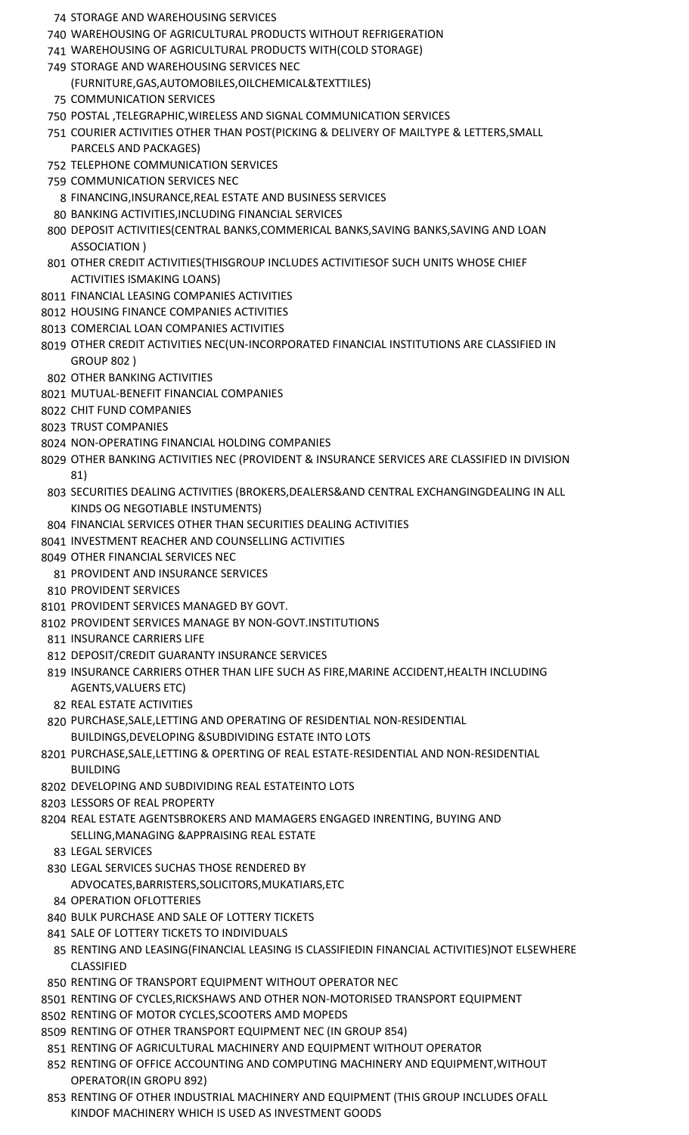- STORAGE AND WAREHOUSING SERVICES
- WAREHOUSING OF AGRICULTURAL PRODUCTS WITHOUT REFRIGERATION
- WAREHOUSING OF AGRICULTURAL PRODUCTS WITH(COLD STORAGE)
- STORAGE AND WAREHOUSING SERVICES NEC (FURNITURE,GAS,AUTOMOBILES,OILCHEMICAL&TEXTTILES) COMMUNICATION SERVICES
- POSTAL ,TELEGRAPHIC,WIRELESS AND SIGNAL COMMUNICATION SERVICES
- COURIER ACTIVITIES OTHER THAN POST(PICKING & DELIVERY OF MAILTYPE & LETTERS,SMALL PARCELS AND PACKAGES)
- TELEPHONE COMMUNICATION SERVICES
- COMMUNICATION SERVICES NEC
	- FINANCING,INSURANCE,REAL ESTATE AND BUSINESS SERVICES
- BANKING ACTIVITIES,INCLUDING FINANCIAL SERVICES
- DEPOSIT ACTIVITIES(CENTRAL BANKS,COMMERICAL BANKS,SAVING BANKS,SAVING AND LOAN ASSOCIATION )
- OTHER CREDIT ACTIVITIES(THISGROUP INCLUDES ACTIVITIESOF SUCH UNITS WHOSE CHIEF ACTIVITIES ISMAKING LOANS)
- FINANCIAL LEASING COMPANIES ACTIVITIES
- HOUSING FINANCE COMPANIES ACTIVITIES
- COMERCIAL LOAN COMPANIES ACTIVITIES
- OTHER CREDIT ACTIVITIES NEC(UN-INCORPORATED FINANCIAL INSTITUTIONS ARE CLASSIFIED IN GROUP 802 )
- OTHER BANKING ACTIVITIES
- MUTUAL-BENEFIT FINANCIAL COMPANIES
- CHIT FUND COMPANIES
- TRUST COMPANIES
- NON-OPERATING FINANCIAL HOLDING COMPANIES
- OTHER BANKING ACTIVITIES NEC (PROVIDENT & INSURANCE SERVICES ARE CLASSIFIED IN DIVISION 81)
- SECURITIES DEALING ACTIVITIES (BROKERS,DEALERS&AND CENTRAL EXCHANGINGDEALING IN ALL KINDS OG NEGOTIABLE INSTUMENTS)
- FINANCIAL SERVICES OTHER THAN SECURITIES DEALING ACTIVITIES
- INVESTMENT REACHER AND COUNSELLING ACTIVITIES
- OTHER FINANCIAL SERVICES NEC
	- PROVIDENT AND INSURANCE SERVICES
- PROVIDENT SERVICES
- PROVIDENT SERVICES MANAGED BY GOVT.
- PROVIDENT SERVICES MANAGE BY NON-GOVT.INSTITUTIONS
- INSURANCE CARRIERS LIFE
- DEPOSIT/CREDIT GUARANTY INSURANCE SERVICES
- INSURANCE CARRIERS OTHER THAN LIFE SUCH AS FIRE,MARINE ACCIDENT,HEALTH INCLUDING AGENTS,VALUERS ETC)
- REAL ESTATE ACTIVITIES
- PURCHASE,SALE,LETTING AND OPERATING OF RESIDENTIAL NON-RESIDENTIAL BUILDINGS,DEVELOPING &SUBDIVIDING ESTATE INTO LOTS
- PURCHASE,SALE,LETTING & OPERTING OF REAL ESTATE-RESIDENTIAL AND NON-RESIDENTIAL BUILDING
- DEVELOPING AND SUBDIVIDING REAL ESTATEINTO LOTS
- LESSORS OF REAL PROPERTY
- REAL ESTATE AGENTSBROKERS AND MAMAGERS ENGAGED INRENTING, BUYING AND SELLING,MANAGING &APPRAISING REAL ESTATE
	- LEGAL SERVICES
- LEGAL SERVICES SUCHAS THOSE RENDERED BY ADVOCATES,BARRISTERS,SOLICITORS,MUKATIARS,ETC
- OPERATION OFLOTTERIES
- BULK PURCHASE AND SALE OF LOTTERY TICKETS
- SALE OF LOTTERY TICKETS TO INDIVIDUALS
- RENTING AND LEASING(FINANCIAL LEASING IS CLASSIFIEDIN FINANCIAL ACTIVITIES)NOT ELSEWHERE CLASSIFIED
- RENTING OF TRANSPORT EQUIPMENT WITHOUT OPERATOR NEC
- RENTING OF CYCLES,RICKSHAWS AND OTHER NON-MOTORISED TRANSPORT EQUIPMENT
- RENTING OF MOTOR CYCLES,SCOOTERS AMD MOPEDS
- RENTING OF OTHER TRANSPORT EQUIPMENT NEC (IN GROUP 854)
- RENTING OF AGRICULTURAL MACHINERY AND EQUIPMENT WITHOUT OPERATOR
- RENTING OF OFFICE ACCOUNTING AND COMPUTING MACHINERY AND EQUIPMENT,WITHOUT OPERATOR(IN GROPU 892)
- RENTING OF OTHER INDUSTRIAL MACHINERY AND EQUIPMENT (THIS GROUP INCLUDES OFALL KINDOF MACHINERY WHICH IS USED AS INVESTMENT GOODS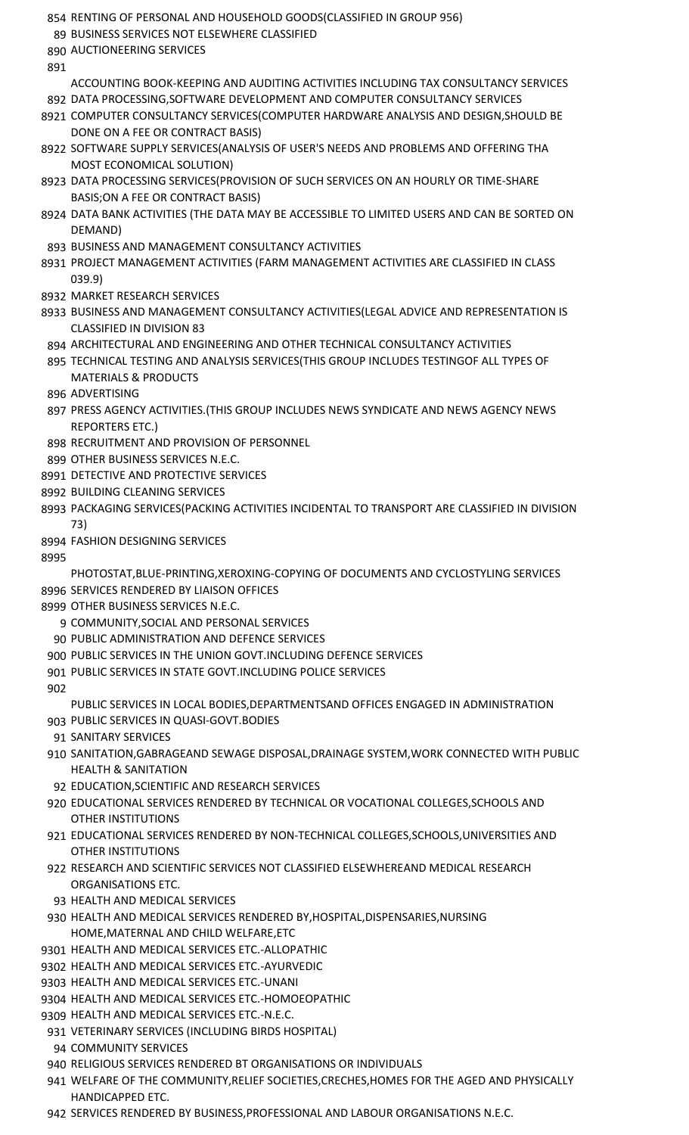- RENTING OF PERSONAL AND HOUSEHOLD GOODS(CLASSIFIED IN GROUP 956) BUSINESS SERVICES NOT ELSEWHERE CLASSIFIED AUCTIONEERING SERVICES ACCOUNTING BOOK-KEEPING AND AUDITING ACTIVITIES INCLUDING TAX CONSULTANCY SERVICES DATA PROCESSING,SOFTWARE DEVELOPMENT AND COMPUTER CONSULTANCY SERVICES COMPUTER CONSULTANCY SERVICES(COMPUTER HARDWARE ANALYSIS AND DESIGN,SHOULD BE DONE ON A FEE OR CONTRACT BASIS) SOFTWARE SUPPLY SERVICES(ANALYSIS OF USER'S NEEDS AND PROBLEMS AND OFFERING THA MOST ECONOMICAL SOLUTION) DATA PROCESSING SERVICES(PROVISION OF SUCH SERVICES ON AN HOURLY OR TIME-SHARE BASIS;ON A FEE OR CONTRACT BASIS) DATA BANK ACTIVITIES (THE DATA MAY BE ACCESSIBLE TO LIMITED USERS AND CAN BE SORTED ON DEMAND) BUSINESS AND MANAGEMENT CONSULTANCY ACTIVITIES PROJECT MANAGEMENT ACTIVITIES (FARM MANAGEMENT ACTIVITIES ARE CLASSIFIED IN CLASS 039.9) MARKET RESEARCH SERVICES BUSINESS AND MANAGEMENT CONSULTANCY ACTIVITIES(LEGAL ADVICE AND REPRESENTATION IS CLASSIFIED IN DIVISION 83 ARCHITECTURAL AND ENGINEERING AND OTHER TECHNICAL CONSULTANCY ACTIVITIES TECHNICAL TESTING AND ANALYSIS SERVICES(THIS GROUP INCLUDES TESTINGOF ALL TYPES OF MATERIALS & PRODUCTS ADVERTISING PRESS AGENCY ACTIVITIES.(THIS GROUP INCLUDES NEWS SYNDICATE AND NEWS AGENCY NEWS REPORTERS ETC.) RECRUITMENT AND PROVISION OF PERSONNEL OTHER BUSINESS SERVICES N.E.C. DETECTIVE AND PROTECTIVE SERVICES BUILDING CLEANING SERVICES PACKAGING SERVICES(PACKING ACTIVITIES INCIDENTAL TO TRANSPORT ARE CLASSIFIED IN DIVISION 73) FASHION DESIGNING SERVICES PHOTOSTAT,BLUE-PRINTING,XEROXING-COPYING OF DOCUMENTS AND CYCLOSTYLING SERVICES SERVICES RENDERED BY LIAISON OFFICES OTHER BUSINESS SERVICES N.E.C. COMMUNITY,SOCIAL AND PERSONAL SERVICES PUBLIC ADMINISTRATION AND DEFENCE SERVICES PUBLIC SERVICES IN THE UNION GOVT.INCLUDING DEFENCE SERVICES PUBLIC SERVICES IN STATE GOVT.INCLUDING POLICE SERVICES PUBLIC SERVICES IN LOCAL BODIES,DEPARTMENTSAND OFFICES ENGAGED IN ADMINISTRATION PUBLIC SERVICES IN QUASI-GOVT.BODIES SANITARY SERVICES SANITATION,GABRAGEAND SEWAGE DISPOSAL,DRAINAGE SYSTEM,WORK CONNECTED WITH PUBLIC HEALTH & SANITATION EDUCATION,SCIENTIFIC AND RESEARCH SERVICES EDUCATIONAL SERVICES RENDERED BY TECHNICAL OR VOCATIONAL COLLEGES,SCHOOLS AND OTHER INSTITUTIONS EDUCATIONAL SERVICES RENDERED BY NON-TECHNICAL COLLEGES,SCHOOLS,UNIVERSITIES AND OTHER INSTITUTIONS RESEARCH AND SCIENTIFIC SERVICES NOT CLASSIFIED ELSEWHEREAND MEDICAL RESEARCH ORGANISATIONS ETC. HEALTH AND MEDICAL SERVICES HEALTH AND MEDICAL SERVICES RENDERED BY,HOSPITAL,DISPENSARIES,NURSING HOME,MATERNAL AND CHILD WELFARE,ETC HEALTH AND MEDICAL SERVICES ETC.-ALLOPATHIC HEALTH AND MEDICAL SERVICES ETC.-AYURVEDIC HEALTH AND MEDICAL SERVICES ETC.-UNANI HEALTH AND MEDICAL SERVICES ETC.-HOMOEOPATHIC HEALTH AND MEDICAL SERVICES ETC.-N.E.C. VETERINARY SERVICES (INCLUDING BIRDS HOSPITAL) COMMUNITY SERVICES RELIGIOUS SERVICES RENDERED BT ORGANISATIONS OR INDIVIDUALS WELFARE OF THE COMMUNITY,RELIEF SOCIETIES,CRECHES,HOMES FOR THE AGED AND PHYSICALLY HANDICAPPED ETC.
- SERVICES RENDERED BY BUSINESS,PROFESSIONAL AND LABOUR ORGANISATIONS N.E.C.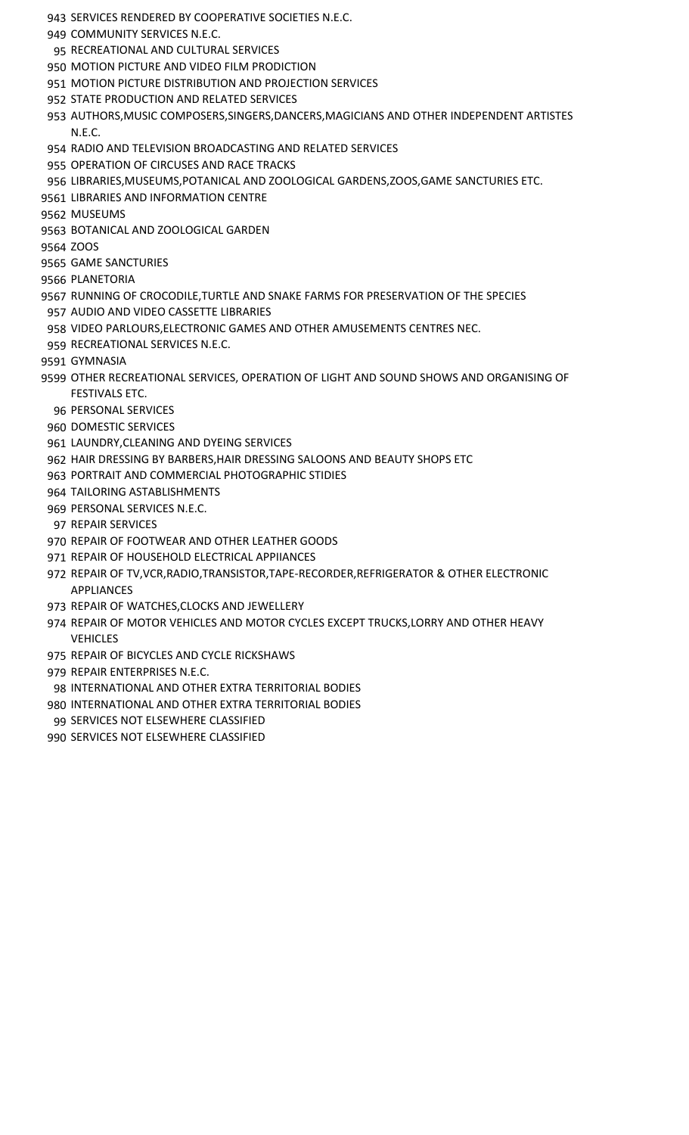- SERVICES RENDERED BY COOPERATIVE SOCIETIES N.E.C.
- COMMUNITY SERVICES N.E.C.
- 95 RECREATIONAL AND CULTURAL SERVICES
- MOTION PICTURE AND VIDEO FILM PRODICTION
- MOTION PICTURE DISTRIBUTION AND PROJECTION SERVICES
- STATE PRODUCTION AND RELATED SERVICES
- AUTHORS,MUSIC COMPOSERS,SINGERS,DANCERS,MAGICIANS AND OTHER INDEPENDENT ARTISTES N.E.C.
- RADIO AND TELEVISION BROADCASTING AND RELATED SERVICES
- OPERATION OF CIRCUSES AND RACE TRACKS
- LIBRARIES,MUSEUMS,POTANICAL AND ZOOLOGICAL GARDENS,ZOOS,GAME SANCTURIES ETC.
- LIBRARIES AND INFORMATION CENTRE
- MUSEUMS
- BOTANICAL AND ZOOLOGICAL GARDEN
- ZOOS
- GAME SANCTURIES
- PLANETORIA
- RUNNING OF CROCODILE,TURTLE AND SNAKE FARMS FOR PRESERVATION OF THE SPECIES
- AUDIO AND VIDEO CASSETTE LIBRARIES
- VIDEO PARLOURS,ELECTRONIC GAMES AND OTHER AMUSEMENTS CENTRES NEC.
- RECREATIONAL SERVICES N.E.C.
- GYMNASIA
- OTHER RECREATIONAL SERVICES, OPERATION OF LIGHT AND SOUND SHOWS AND ORGANISING OF FESTIVALS ETC.
	- PERSONAL SERVICES
- DOMESTIC SERVICES
- LAUNDRY,CLEANING AND DYEING SERVICES
- HAIR DRESSING BY BARBERS,HAIR DRESSING SALOONS AND BEAUTY SHOPS ETC
- PORTRAIT AND COMMERCIAL PHOTOGRAPHIC STIDIES
- TAILORING ASTABLISHMENTS
- PERSONAL SERVICES N.E.C.
- REPAIR SERVICES
- REPAIR OF FOOTWEAR AND OTHER LEATHER GOODS
- REPAIR OF HOUSEHOLD ELECTRICAL APPIIANCES
- REPAIR OF TV,VCR,RADIO,TRANSISTOR,TAPE-RECORDER,REFRIGERATOR & OTHER ELECTRONIC APPLIANCES
- REPAIR OF WATCHES,CLOCKS AND JEWELLERY
- REPAIR OF MOTOR VEHICLES AND MOTOR CYCLES EXCEPT TRUCKS,LORRY AND OTHER HEAVY VEHICLES
- REPAIR OF BICYCLES AND CYCLE RICKSHAWS
- REPAIR ENTERPRISES N.E.C.
- INTERNATIONAL AND OTHER EXTRA TERRITORIAL BODIES
- INTERNATIONAL AND OTHER EXTRA TERRITORIAL BODIES
- SERVICES NOT ELSEWHERE CLASSIFIED
- SERVICES NOT ELSEWHERE CLASSIFIED